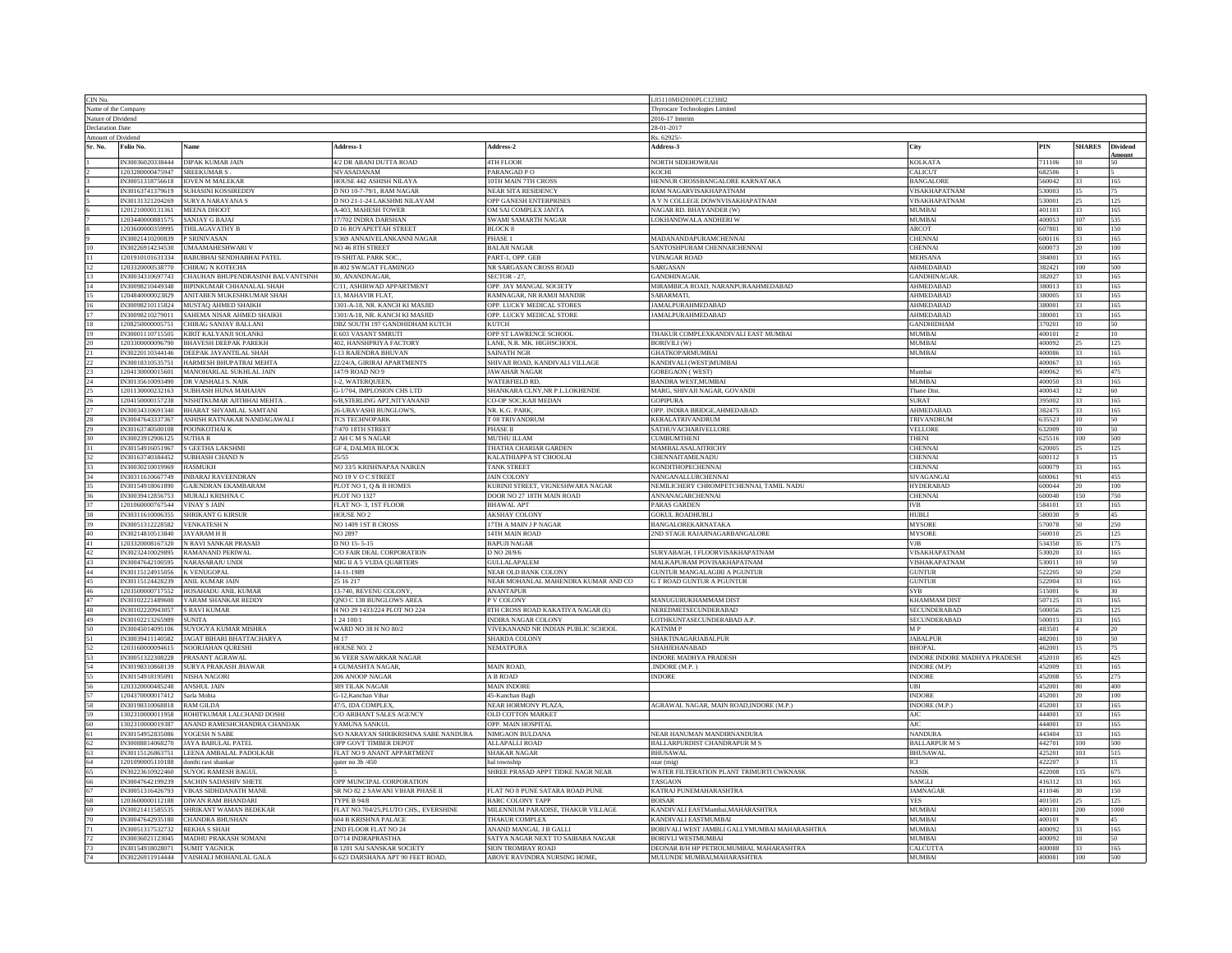| CIN No.                                       |                                      |                                                          |                                                               |                                                               | L85110MH2000PLC123882                                                     |                              |                  |                  |                 |
|-----------------------------------------------|--------------------------------------|----------------------------------------------------------|---------------------------------------------------------------|---------------------------------------------------------------|---------------------------------------------------------------------------|------------------------------|------------------|------------------|-----------------|
| Name of the Company<br>Nature of Dividend     |                                      |                                                          |                                                               |                                                               | hyrocare Technologies Limited                                             |                              |                  |                  |                 |
|                                               |                                      |                                                          |                                                               | 2016-17 Interin<br>28-01-2017                                 |                                                                           |                              |                  |                  |                 |
| <b>Declaration Date</b><br>Amount of Dividend |                                      |                                                          |                                                               |                                                               | Rs. 62925                                                                 |                              |                  |                  |                 |
| Sr. No.                                       | Folio No.                            | Name                                                     | <b>Address-1</b>                                              | Address-2                                                     | Address-3                                                                 | City                         | PIN              | <b>SHARES</b>    | <b>Dividend</b> |
|                                               |                                      |                                                          |                                                               |                                                               |                                                                           |                              |                  |                  | Amou            |
|                                               | IN30036020338444                     | DIPAK KUMAR JAIN                                         | 4/2 DR ABANI DUTTA ROAD                                       | <b>4TH FLOOR</b>                                              | NORTH SIDEHOWRAH                                                          | <b>KOLKATA</b>               | 711106           |                  |                 |
|                                               | 1203280000475947                     | <b>SREEKUMAR S</b>                                       | SIVASADANAM                                                   | PARANGAD PO                                                   | KOCHI                                                                     | CALICUT                      | 682506           |                  |                 |
|                                               | N30051318756618                      | <b>IOVEN M MALEKAR</b>                                   | HOUSE 442 ASHISH NILAYA                                       | <b>OTH MAIN 7TH CROSS</b>                                     | HENNUR CROSSBANGALORE KARNATAKA                                           | <b>BANGALORE</b>             | 560042           |                  | 165             |
|                                               | N30163741379619                      | <b>SUHASINI KOSSIREDDY</b>                               | D NO 10-7-79/1, RAM NAGAR                                     | NEAR SITA RESIDENCY                                           | AM NAGARVISAKHAPATNAM                                                     | <b>ISAKHAPATNAM</b>          | 530003           |                  |                 |
|                                               | IN30131321204269                     | <b>SURYA NARAYANA S</b>                                  | D NO 21-1-24 LAKSHMI NILAYAM                                  | OPP GANESH ENTERPRISES                                        | A V N COLLEGE DOWNVISAKHAPATNAM                                           | VISAKHAPATNAM                | 530001           | 25               | 125             |
|                                               | 1201210000131361                     | <b>MEENA DHOOT</b>                                       | A-403, MAHESH TOWER                                           | OM SAI COMPLEX JANTA                                          | NAGAR RD. BHAYANDER (W)                                                   | MUMBAI                       | 401101           | 33               | 165             |
|                                               | 1203440000881575                     | <b>SANJAY G BAJAJ</b>                                    | 17/702 INDRA DARSHAN                                          | SWAMI SAMARTH NAGAR                                           | LOKHANDWALA ANDHERI W                                                     | MUMBAI                       | 400053           | 107              | 535             |
|                                               | 1203600000359995                     | THILAGAVATHY B                                           | D 16 ROYAPETTAH STREET                                        | <b>BLOCK 8</b>                                                |                                                                           | <b>ARCOT</b>                 | 607801           | 30               | 150             |
|                                               | IN30021410200839                     | P SRINIVASAN                                             | 3/369 ANNAIVELANKANNI NAGAR                                   | PHASE 1                                                       | MADANANDAPURAMCHENNAI                                                     | <b>CHENNAI</b>               | 600116           | 33.              | 165             |
|                                               | IN30226914234530                     | UMAAMAHESHWARI V                                         | NO 46 STH STREET                                              | <b>BALAJI NAGAR</b>                                           | SANTOSHPURAM CHENNAICHENNAI                                               | <b>CHENNAI</b>               | 600073           |                  | 100             |
| 11                                            | 1201910101631334                     | <b>BABUBHAI SENDHABHAI PATEL</b>                         | 19-SHITAL PARK SOC.                                           | PART-1, OPP. GEB                                              | <b>VIJNAGAR ROAD</b>                                                      | <b>MEHSANA</b>               | 384001           | $33 -$           | 165             |
| $12\,$                                        | 1203320000538770                     | <b>CHIRAG N KOTECHA</b>                                  | <b>B 402 SWAGAT FLAMINGO</b>                                  | NR SARGASAN CROSS ROAD                                        | SARGASAN                                                                  | <b>AHMEDABAL</b>             | 382421           | 100              | 500             |
| $13\,$                                        | IN30034310697743                     | CHAUHAN BHUPENDRASINH BALVANTSINH                        | 30. ANANDNAGAR                                                | SECTOR - 27,                                                  | <b>GANDHINAGAR</b>                                                        | <b>GANDHINAGAR</b>           | 382027           | 33               | 165             |
| $14\,$                                        | IN30098210449348                     | BIPINKUMAR CHHANALAL SHAH                                | C/11, ASHIRWAD APPARTMENT                                     | OPP. JAY MANGAL SOCIETY                                       | MIRAMBICA ROAD, NARANPURAAHMEDABAD                                        | <b>AHMEDABAD</b>             | 380013           | 33               | 165             |
| 15                                            | 1204840000023829                     | ANITABEN MUKESHKUMAR SHAH                                | 13. MAHAVIR FLAT.                                             | RAMNAGAR, NR RAMJI MANDIR                                     | SABARMATI,                                                                | AHMEDARAD                    | 380005           | 33.              | 165             |
| 16                                            | IN30098210115824                     | MUSTAQ AHMED SHAIKH                                      | 301-A-18, NR. KANCH KI MASJID                                 | OPP. LUCKY MEDICAL STORES                                     | <b>AMALPURAHMEDABAD</b>                                                   | <b>AHMEDABAD</b>             | 880001           |                  | 165             |
| 17                                            | IN30098210279011                     | SAHEMA NISAR AHMED SHAIKH                                | 1301/A-18, NR. KANCH KI MASJID                                | OPP. LUCKY MEDICAL STORE                                      | <b>JAMALPURAHMEDABAD</b>                                                  | AHMEDABAD                    | 380001           |                  | 165             |
| 18                                            | 1208250000005751                     | CHIRAG SANJAY BALLANI                                    | DBZ SOUTH 197 GANDHIDHAM KUTCH                                | <b>KUTCH</b>                                                  |                                                                           | <b>GANDHIDHAM</b>            | 370201           | 10               | 50              |
| 19                                            | IN30001110715505                     | KIRIT KALYANJI SOLANKI                                   | E 603 VASANT SMRUTI                                           | OPP ST LAWRENCE SCHOOL                                        | THAKUR COMPLEXKANDIVALI EAST MUMBAI                                       | <b>MUMBAI</b>                | 400101           |                  | 10              |
| 20                                            | 1203300000096790                     | <b>BHAVESH DEEPAK PAREKH</b>                             | 402, HANSHPRIYA FACTORY                                       | LANE, N.R. MK. HIGHSCHOOL                                     | <b>BORIVILI (W)</b>                                                       | MUMBAI                       | 400092           | 25               | 125             |
| 21                                            | IN30220110344146                     | DEEPAK JAYANTILAL SHAH                                   | I-13 RAJENDRA BHUVAN                                          | <b>SAINATH NGR</b>                                            | <b>GHATKOPARMUMBAI</b>                                                    | <b>MUMBAI</b>                | 400086           | 33.              | 165             |
| 22                                            | N30018310535751                      | <b>HARMESH BHUPATRAI MEHTA</b>                           | 22/24/A, GIRIRAJ APARTMENTS                                   | SHIVAJI ROAD, KANDIVALI VILLAGE                               | KANDIVALI (WEST)MUMBAI                                                    |                              | 400067           |                  | 165             |
|                                               | 1204130000015601                     | MANOHARLAL SUKHLAL JAIN                                  | 147/9 ROAD NO 9                                               | <b>JAWAHAR NAGAR</b>                                          | <b>GOREGAON</b> (WEST)                                                    | Mumbai                       | 400062           |                  | 475             |
| 24                                            |                                      |                                                          | 1-2, WATERQUEEN                                               | WATERFIELD RD,                                                | BANDRA WEST, MUMBAI                                                       | <b>MUMBAI</b>                | 400050           | 22.              | 165             |
| 25                                            | 1201130000232163                     | SUBHASH HUNA MAHAJAN                                     | G-1/704, IMPLOSION CHS LTD                                    | SHANKARA CLNY,NR P.L.LOKHENDE                                 | MARG, SHIVAJI NAGAR, GOVANDI                                              | <b>Thane Dist</b>            | 400043           | 12 <sup>12</sup> | 60              |
| $^{26}$                                       | 1204150000157238                     | NISHITKUMAR AJITBHAI MEHTA                               | 6/B, STERLING APT, NITY ANAND                                 | CO-OP SOC, KAJI MEDAN                                         | <b>GOPIPURA</b>                                                           | <b>SURAT</b>                 | 395002           | 33               | 165             |
| $\frac{27}{28}$                               | IN30034310691340                     | BHARAT SHYAMLAL SAMTANI                                  | 26-URAVASHI BUNGLOW'S,                                        | NR. K.G. PARK,                                                | OPP. INDIRA BRIDGE, AHMEDABAD.                                            | AHMEDABAD                    | 382475           | 33.              | 165             |
|                                               | IN30047643337367                     | ASHISH RATNAKAR NANDAGAWALI                              | <b>ICS TECHNOPARK</b>                                         | T 08 TRIVANDRUM                                               | <b>KERALATRIVANDRUM</b>                                                   | <b>TRIVANDRUM</b>            | 535523           | 10.              | 50              |
| 29                                            | N30163740500108                      | POONKOTHAI K                                             | 7/470 18TH STREET                                             | PHASE II                                                      | <b>ATHUVACHARIVELLORE</b>                                                 | <b>ELLORE</b>                | 532009           |                  |                 |
| $\frac{30}{31}$                               | IN30023912906125                     | <b>SUTHAR</b>                                            | 2 AH C M S NAGAR                                              | MUTHU ILLAM                                                   | <b>CUMBUMTHENI</b>                                                        | <b>THENI</b>                 | 625516           | 100              | 500             |
|                                               | IN30154916051967                     | <b>S GEETHA LAKSHMI</b>                                  | <b>GF 4, DALMIA BLOCK</b>                                     | THATHA CHARIAR GARDEN                                         | MAMBALASALAITRICHY                                                        | <b>CHENNA</b>                | 620005           | 25               | 125             |
| $32\,$                                        | IN30163740384452                     | <b>SUBHASH CHAND N</b>                                   | 25/55                                                         | KALATHIAPPA ST CHOOLAI                                        | CHENNAITAMILNADU                                                          | <b>CHENNAI</b>               | 600112           |                  | 15              |
| 33                                            | IN30030210019969                     | <b>HASMUKH</b>                                           | NO 33/5 KRISHNAPAA NAIKEN                                     | TANK STREET                                                   | KONDITHOPECHENNAI                                                         | <b>CHENNAI</b>               | 600079           | 33               | 165             |
| 34                                            | IN30311610667749                     | <b>INBARAJ RAVEENDRAN</b>                                | NO 19 V O C STREET                                            | <b>JAIN COLONY</b>                                            | <b>NANGANALLURCHENNAI</b>                                                 | SIVAGANGAI                   | 600061           | 91               | 455             |
| 35                                            | IN30154918061890                     | GAJENDRAN EKAMBARAM                                      | PLOT NO 1, Q & B HOMES                                        | KURINJI STREET, VIGNESHWARA NAGAR                             | NEMILICHERY CHROMPETCHENNAI, TAMIL NADU                                   | <b>HYDERABAD</b>             | 600044           |                  | 100             |
| 36                                            | IN30039412856753                     | MURALI KRISHNA C                                         | PLOT NO 1327                                                  | DOOR NO 27 18TH MAIN ROAD                                     | ANNANAGARCHENNAI                                                          | <b>CHENNAI</b>               | 600040           | 150              | 750             |
| 37                                            | 1201060000767544                     | <b>VINAY S JAIN</b>                                      | FLAT NO-3, 1ST FLOOR                                          | <b>BHAWAL APT</b>                                             | <b>PARAS GARDEN</b>                                                       | <b>IVB</b>                   | 584101           | 33               | 165             |
| 38                                            | IN30311610006355                     | SHRIKANT G KIRSUR                                        | HOUSE NO 2                                                    | <b>AKSHAY COLONY</b>                                          | <b>GOKUL ROADHUBLI</b>                                                    | <b>HUBLI</b>                 | 580030           |                  | 45              |
| 39                                            | IN30051312228582                     | <b>VENKATESH N</b>                                       | NO 1409 1ST B CROSS                                           | 17TH A MAIN J P NAGAR                                         | BANGALOREKARNATAKA                                                        | <b>MYSORE</b>                | 570078           | 50               | 250             |
| 40                                            | IN30214810513840                     | JAYARAM H B                                              | NO 2897                                                       | 14TH MAIN ROAD                                                | <b>2ND STAGE RAJAJINAGARBANGALORE</b>                                     | <b>MYSORE</b>                | 560010           | 25.              | 125             |
| 41                                            | 1203320008167320                     | <b>RAVI SANKAR PRASAD</b>                                | D NO 15-5-15                                                  | <b>BAPUJI NAGAR</b>                                           |                                                                           | /JB                          | 534350           |                  | 175             |
| 42                                            | IN30232410029895                     | <b>AMANAND PERIWAL</b>                                   | C/O FAIR DEAL CORPORATION                                     | D NO 28/9/6                                                   | SURYABAGH, I FLOORVISAKHAPATNAM                                           | VISAKHAPATNAM                | 530020           |                  | 165             |
| 43                                            | IN30047642100595                     | NARASARAJU UNDI                                          | MIG II A 5 VUDA QUARTERS                                      | GULLALAPALEM                                                  | MALKAPURAM POVISAKHAPATNAM                                                | VISHAKAPATNAM                | 530011           | 10               | 50              |
| $44$                                          | IN30115124915056                     | VENUGOPAL                                                | 14-11-1989                                                    | NEAR OLD BANK COLONY                                          | GUNTUR MANGALAGIRI A PGUNTUR                                              | <b>GUNTUR</b>                | 522205           | $50^{\circ}$     | 250             |
| 45                                            | IN30115124428239                     | ANIL KUMAR JAIN                                          | 25 16 217                                                     | NEAR MOHANLAL MAHENDRA KUMAR AND CO                           | G T ROAD GUNTUR A PGUNTUR                                                 | <b>GUNTUR</b>                | 522004           | 33               | 165             |
| $\frac{46}{47}$                               | 1203500000717552                     | HOSAHADU ANIL KUMAR                                      | 13-740, REVENU COLONY,                                        | <b>ANANTAPUR</b>                                              |                                                                           | SYB                          | 515001           |                  | 30              |
|                                               | IN30102221489600                     | YARAM SHANKAR REDDY                                      | ONO C 138 BUNGLOWS AREA                                       | P V COLONY                                                    | MANUGURUKHAMMAM DIST                                                      | <b>KHAMMAM DIST</b>          | 507125           |                  | 165             |
| 48                                            | N30102220943057                      | S RAVI KUMAR                                             | H NO 29 1433/224 PLOT NO 224                                  | STH CROSS ROAD KAKATIYA NAGAR (E)                             | NEREDMETSECUNDERABAD                                                      | SECUNDERABAD                 | 500056           |                  | 125             |
| 49                                            | IN30102213265989                     | $\mathop{\rm SUNITA}\nolimits$                           | 1 24 100/1                                                    | INDIRA NAGAR COLONY                                           | LOTHKUNTASECUNDERABAD A.P.                                                | SECUNDERABAD                 | 500015           | 33.              | 165             |
| 50                                            | IN30045014095106                     | SUYOGYA KUMAR MISHRA                                     | WARD NO 38 H NO 80/2                                          | VIVEKANAND NR INDIAN PUBLIC SCHOOL                            | <b>KATNIMP</b>                                                            | MP                           | 483501           |                  | 20              |
| 51                                            | IN30039411140582                     | JAGAT BIHARI BHATTACHARYA                                | M <sub>17</sub>                                               | SHARDA COLONY                                                 | <b>SHAKTINAGARJABALPUR</b>                                                | <b>JABALPUR</b>              | 482001           | 10               | 50              |
| 52<br>53                                      | IN30051322308228                     | 1203160000094615 NOORJAHAN QURESHI<br>PRASANT AGRAWAL    | HOUSE NO. 2                                                   | NEMATPURA                                                     | SHAHJEHANABAD                                                             | <b>BHOPAL</b>                | 462001<br>452010 | 15               | 75<br>425       |
| 54                                            | IN30198310868139                     | SURYA PRAKASH JHAWAR                                     | <b>36 VEER SAWARKAR NAGAR</b><br><b>4 GUMASHTA NAGAR</b>      |                                                               | <b>INDORE MADHYA PRADESH</b>                                              | INDORE INDORE MADHYA PRADESH | 452009           | 85               |                 |
|                                               |                                      |                                                          |                                                               | MAIN ROAD,                                                    | INDORE (M.P.)                                                             | <b>NDORE</b> (M.P)           |                  |                  | 165             |
| 55<br>56                                      | IN30154918195091<br>1203320000485248 | NISHA NAGORI<br><b>ANSHUL JAIN</b>                       | 206 ANOOP NAGAR                                               | A B ROAD<br><b>MAIN INDORE</b>                                | <b>INDORE</b>                                                             | <b>INDORE</b><br><b>TRI</b>  | 452008<br>452001 | 55<br>80         | 275<br>400      |
| 57                                            | 1204370000017412                     | Sarla Mohta                                              | 389 TILAK NAGAR<br>G-12. Kanchan Vihar                        |                                                               |                                                                           | <b>INDORE</b>                | 452001           | 20               |                 |
|                                               |                                      |                                                          |                                                               | 45-Kanchan Bagh                                               |                                                                           |                              |                  | 33               | 100             |
| 58                                            | IN30198310068818<br>1302310000011958 | <b>RAM GILDA</b>                                         | 47/5, IDA COMPLEX,                                            | NEAR HORMONY PLAZA,                                           | AGRAWAL NAGAR, MAIN ROAD, INDORE (M.P.)                                   | INDORE (M.P.)                | 452001<br>444001 |                  | 165             |
| 59<br>60                                      | 302310000019387                      | ROHITKUMAR LALCHAND DOSHI<br>ANAND RAMESHCHANDRA CHANDAK | C/O ARIHANT SALES AGENCY<br><b>AMUNA SANKUL</b>               | OLD COTTON MARKET<br>OPP. MAIN HOSPITAL                       |                                                                           | AJC<br>AJC                   | 444001           | 33.              | 165<br>165      |
| 61                                            | IN30154952835086                     | YOGESH N SABI                                            |                                                               |                                                               | NEAR HANUMAN MANDIRNANDURA                                                | <b>NANDURA</b>               | 443404           |                  | 165             |
|                                               | IN30088814068270                     | <b>JAYA BABULAL PATEL</b>                                | S/O NARAYAN SHRIKRISHNA SABE NANDURA<br>OPP GOVT TIMBER DEPOT | NIMGAON BULDANA<br>ALLAPALLI ROAD                             | BALLARPURDIST CHANDRAPUR M S                                              | <b>BALLARPUR M S</b>         | 442701           | 100              | 500             |
| 62<br>63                                      | IN30115126863751                     | LEENA AMBALAL PADOLKAR                                   | FLAT NO 9 ANANT APPARTMENT                                    | SHAKAR NAGAR                                                  | <b>BHUSAWAL</b>                                                           | <b>BHUSAWAI</b>              | 425201           | 103              | 515             |
| 64                                            | 1201090005110188                     |                                                          |                                                               | hal townshir                                                  |                                                                           | ICI                          | 422207           |                  | 15              |
|                                               |                                      | lonthi ravi shankar                                      | quter no 3b /450                                              |                                                               | ozar (mig)<br>WATER FILTERATION PLANT TRIMURTI CWKNASK                    |                              |                  | 135              |                 |
| 65                                            | IN30223610922460<br>N30047642199239  | <b>SUYOG RAMESH BAGUI</b><br>SACHIN SADASHIV SHETE       | OPP MUNCIPAL CORPORATION                                      | SHREE PRASAD APPT TIDKE NAGR NEAR                             | <b>TASGAON</b>                                                            | <b>NASIK</b><br>SANGLI       | 422008<br>416312 |                  | 675<br>165      |
| 67                                            |                                      |                                                          |                                                               |                                                               |                                                                           |                              |                  |                  | 150             |
|                                               | N30051316426793                      | VIKAS SIDHDANATH MANE                                    | SR NO 82 2 SAWANI VIHAR PHASE II                              | FLAT NO 8 PUNE SATARA ROAD PUNE                               | <b>CATRAJ PUNEMAHARASHTRA</b>                                             | <b>JAMNAGAR</b>              | 411046           | 25               | 125             |
| 68                                            | 1203600000112188<br>IN30021411585535 | DIWAN RAM BHANDARI<br>SHRIKANT WAMAN BEDEKAR             | <b>TYPE B 94/8</b><br>FLAT NO.704/25, PLUTO CHS., EVERSHINE   | <b>BARC COLONY TAPP</b><br>MILENNIUM PARADISE, THAKUR VILLAGE | <b>BOISAR</b><br>KANDIVALI EASTMumbai, MAHARASHTRA                        | <b>YES</b><br>MUMBAI         | 401501<br>400101 | 200              | 1000            |
| 70                                            | IN30047642935180                     |                                                          |                                                               |                                                               |                                                                           | <b>MUMBAI</b>                | 400101           |                  | 45              |
|                                               | IN30051317532732                     | CHANDRA BHUSHAN                                          | 604 B KRISHNA PALACE                                          | THAKUR COMPLEX                                                | KANDIVALI EASTMUMBAI                                                      | <b>MUMBAI</b>                | 400092           | 33               |                 |
| 71                                            | IN30036021123045                     | <b>REKHA S SHAH</b><br>MADHU PRAKASH SOMANI              | 2ND FLOOR FLAT NO 24<br>D/714 INDRAPRASTHA                    | ANAND MANGAL J B GALLI<br>SATYA NAGAR NEXT TO SAIBABA NAGAR   | BORIVALI WEST JAMBLI GALLYMUMBAI MAHARASHTRA<br><b>BORIVLI WESTMUMBAI</b> | MUMBAI                       | 400092           | 10               | 165<br>50       |
| 72<br>$73\,$                                  | IN30154918028071                     | <b>SUMIT YAGNICK</b>                                     | <b>B 1201 SAI SANSKAR SOCIETY</b>                             | SION TROMBAY ROAD                                             | DEONAR B/H HP PETROLMUMBAI, MAHARASHTRA                                   | <b>ALCUTTA</b>               | 400088           | 33.              | 165             |
| 74                                            |                                      |                                                          |                                                               |                                                               |                                                                           | <b>MUMBAI</b>                | 400081           | 100              | 500             |
|                                               |                                      | IN30226911914444 VAISHALI MOHANLAL GALA                  | 6 623 DARSHANA APT 90 FEET ROAD,                              | ABOVE RAVINDRA NURSING HOME,                                  | MULUNDE MUMBAI, MAHARASHTRA                                               |                              |                  |                  |                 |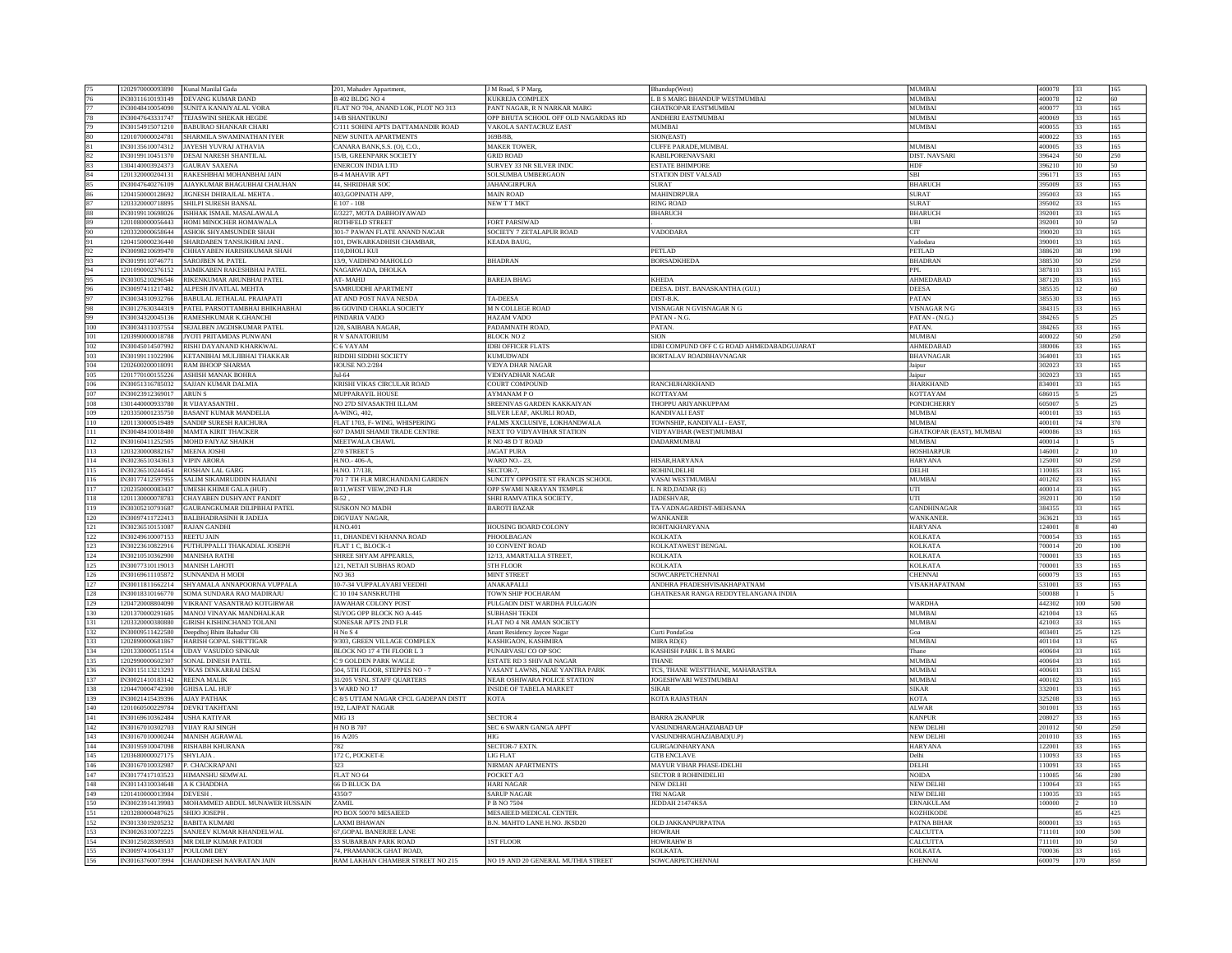|            |                  | 1202970000093890 Kunal Manilal Gada                     | 201, Mahadev Appartment,                                     | J M Road, S P Marg,                  | Bhandup(West)                                     | <b>MUMBAI</b>                  | 400078           |           | 165        |
|------------|------------------|---------------------------------------------------------|--------------------------------------------------------------|--------------------------------------|---------------------------------------------------|--------------------------------|------------------|-----------|------------|
|            |                  | DEVANG KUMAR DAND                                       | <b>B 402 BLDG NO 4</b>                                       |                                      |                                                   | <b>MUMBAI</b>                  | 400078           |           |            |
|            | IN30311610193149 |                                                         |                                                              | KUKREJA COMPLEX                      | L B S MARG BHANDUP WESTMUMBAI                     |                                |                  | 12        | 60         |
| 77         | IN30048410054090 | SUNITA KANAIYALAL VORA                                  | FLAT NO 704, ANAND LOK, PLOT NO 313                          | PANT NAGAR, R N NARKAR MARG          | <b>GHATKOPAR EASTMUMBAI</b>                       | MUMBAI                         | 400077           |           | 165        |
| 78         | N30047643331747  | TEJASWINI SHEKAR HEGDE                                  | 14/B SHANTIKUNJ                                              | OPP BHUTA SCHOOL OFF OLD NAGARDAS RD | ANDHERI EASTMUMBAI                                | <b>JUMBAI</b>                  | 400069           |           | 165        |
|            | IN30154915071210 | <b>BABURAO SHANKAR CHARI</b>                            | C/111 SOHINI APTS DATTAMANDIR ROAD                           | <b>VAKOLA SANTACRUZ EAST</b>         | <b>MUMBAI</b>                                     | <b>MUMBAI</b>                  | 400055           |           | 165        |
| 80         | 1201070000024781 | SHARMILA SWAMINATHAN IYER                               | NEW SUNITA APARTMENTS                                        | 169B/8B                              | SION(EAST)                                        |                                | 400022           |           | 165        |
|            |                  |                                                         |                                                              |                                      |                                                   |                                |                  |           |            |
| 81         | IN30135610074312 | <b>JAYESH YUVRAJ ATHAVIA</b>                            | CANARA BANK, S.S. (O), C.O.                                  | <b>MAKER TOWER</b>                   | CUFFE PARADE, MUMBAI.                             | <b>MUMBAI</b>                  | 400005           |           | 165        |
| 82         | IN30199110451370 | DESAI NARESH SHANTILAI                                  | 15/B, GREENPARK SOCIETY                                      | <b>GRID ROAD</b>                     | KABILPORENAVSARI                                  | <b>DIST. NAVSARI</b>           | 396424           | 50        | 250        |
| 83         | 1304140003924373 | <b>GAURAV SAXENA</b>                                    | <b>ENERCON INDIA LTD</b>                                     | SURVEY 33 NR SILVER INDC             | <b>ESTATE BHIMPORE</b>                            | <b>HDF</b>                     | 396210           | 10        | 50         |
| $\bf 84$   | 1201320000204131 | RAKESHBHAI MOHANBHAI JAIN                               | <b>B-4 MAHAVIR APT</b>                                       | SOLSUMBA UMBERGAON                   | STATION DIST VALSAD                               | SBI                            | 396171           |           | 165        |
| 85         | IN30047640276109 | <b>JAYKUMAR BHAGUBHAI CHAUHAN</b>                       | <b>44 SHRIDHAR SOC</b>                                       | <b>JAHANGIRPURA</b>                  | <b>SURAT</b>                                      | <b>BHARUCE</b>                 | 395009           | 33        | 165        |
| 86         | 1204150000128692 | <b>IIGNESH DHIRAJLAL MEHTA</b>                          | 403, GOPINATH APP,                                           | <b>MAIN ROAD</b>                     | <b>MAHINDRPURA</b>                                | <b>SURAT</b>                   | 395003           | 33        | 165        |
|            |                  |                                                         |                                                              |                                      |                                                   |                                |                  |           |            |
| 87         | 1203320000718895 | SHILPI SURESH BANSAL                                    | E 107 - 108                                                  | NEW T T MKT                          | <b>RING ROAD</b>                                  | <b>SURAT</b>                   | 395002           | 33        | 165        |
| 88         | IN30199110698026 | ISHHAK ISMAIL MASALAWALA                                | E/3227, MOTA DABHOIYAWAD                                     |                                      | <b>BHARUCH</b>                                    | <b>BHARUCH</b>                 | 392001           | 33        | 165        |
| 89         | 1201080000056443 | <b>IOMI MINOCHER HOMAWALA</b>                           | ROTHFELD STREET                                              | <b>FORT PARSIWAD</b>                 |                                                   | ЛH                             | 392001           |           | 50         |
| 90         | 1203320000658644 | ASHOK SHYAMSUNDER SHAH                                  | 301-7 PAWAN FLATE ANAND NAGAR                                | SOCIETY 7 ZETALAPUR ROAD             | <b>VADODARA</b>                                   | CIT                            | 390020           | 33        | 165        |
| 91         | 1204150000236440 | SHARDABEN TANSUKHRAI JAN                                | 101, DWKARKADHISH CHAMBAR,                                   | <b>KEADA BAUG,</b>                   |                                                   | Vadodara                       | 390001           | 33        | 165        |
|            | IN30098210699470 |                                                         | 110.DHOLI KUI                                                |                                      | <b>PETLAD</b>                                     | PETLAD                         | 388620           | 38        |            |
| 92         |                  | CHHAYABEN HARISHKUMAR SHAH                              |                                                              |                                      |                                                   |                                |                  |           | 190        |
| 93         | IN30199110746771 | <b>SAROJBEN M. PATEL</b>                                | 13/9, VAIDHNO MAHOLLO                                        | <b>BHADRAN</b>                       | <b>BORSADKHEDA</b>                                | <b>BHADRAN</b>                 | 388530           | 50        | 250        |
| 94         | 1201090002376152 | <b>JAIMIKABEN RAKESHBHAI PATEL</b>                      | NAGARWADA, DHOLKA                                            |                                      |                                                   | PPL                            | 387810           |           | 165        |
| 95         | N30305210296546  | RIKENKUMAR ARUNBHAI PATEL                               | AT-MAHL                                                      | <b>BAREJA BHAG</b>                   | <b>KHEDA</b>                                      | AHMEDABAD                      | 387120           |           | 165        |
|            | IN30097411217482 | ALPESH JIVATLAL MEHTA                                   | SAMRUDDHI APARTMENT                                          |                                      | DEESA. DIST. BANASKANTHA (GUJ.)                   | <b>DEESA</b>                   | 385535           |           | 60         |
| 97         | IN30034310932766 | <b>BABULAL JETHALAL PRAJAPATI</b>                       | AT AND POST NAVA NESDA                                       | <b>TA-DEESA</b>                      | DIST-B.K.                                         | PATAN                          | 385530           |           | 165        |
|            | IN30127630344319 | PATEL PARSOTTAMBHAI BHIKHABHAI                          |                                                              | <b>M N COLLEGE ROAD</b>              |                                                   |                                | 384315           | 33        | 165        |
| 98         |                  |                                                         | 86 GOVIND CHAKLA SOCIETY                                     |                                      | VISNAGAR N GVISNAGAR N G                          | VISNAGAR N G                   |                  |           |            |
| 99<br>100  | IN30034320045136 | <b>RAMESHKUMAR K GHANCHI</b>                            | PINDARIA VADO                                                | <b>HAZAM VADO</b>                    | PATAN - N.G.                                      | PATAN - (N.G.)                 | 384265           |           | 25         |
|            | N30034311037554  | SEJALBEN JAGDISKUMAR PATEI                              | 120, SAIBABA NAGAR,                                          | PADAMNATH ROAD,                      | PATAN.                                            | PATAN.                         | 384265           |           | 165        |
| 101        | 1203990000018788 | JYOTI PRITAMDAS PUNWANI                                 | R V SANATORIUM                                               | <b>BLOCK NO 2</b>                    | <b>SION</b>                                       | <b>MUMBAI</b>                  | 400022           |           | 250        |
| 102        | IN30045014507992 | <b>RISHI DAYANAND KHARKWAI</b>                          | C 6 VAYAM                                                    | <b>IDBI OFFICER FLATS</b>            | <b>IDBI COMPUND OFF C G ROAD AHMEDABADGUIARAT</b> | <b>AHMEDABAL</b>               | 380006           | 33        | 165        |
| 103        | IN30199111022906 | KETANBHAI MULJIBHAI THAKKAR                             | RIDDHI SIDDHI SOCIETY                                        | <b>KUMUDWADI</b>                     | BORTALAV ROADBHAVNAGAR                            | <b>BHAVNAGAR</b>               | 364001           |           | 165        |
|            |                  |                                                         |                                                              |                                      |                                                   |                                |                  |           |            |
| 104        | 1202600200018091 | <b>RAM BHOOP SHARMA</b>                                 | <b>HOUSE NO.2/284</b>                                        | <b>VIDYA DHAR NAGAR</b>              |                                                   | Jaipur                         | 302023           | 33.       | 165        |
| 105        | 1201770100155226 | ASHISH MANAK BOHRA                                      | Jul-64                                                       | <b>VIDHYADHAR NAGAR</b>              |                                                   | Jaipur                         | 302023           |           | 165        |
| 106        | IN30051316785032 | AJJAN KUMAR DALMIA                                      | KRISHI VIKAS CIRCULAR ROAD                                   | <b>COURT COMPOUND</b>                | RANCHIJHARKHAND                                   | <b>HARKHAND</b>                | 834001           |           | 165        |
| 107        | IN30023912369017 | <b>ARINS</b>                                            | MUPPARAYIL HOUSE                                             | AYMANAM PO                           | <b>KOTTAYAM</b>                                   | <b>KOTTAYAM</b>                | 686015           |           | 25         |
| 108        | 1301440000933780 | VIJAYASANTHI                                            | NO 27D SIVASAKTHI ILLAM                                      | SREENIVAS GARDEN KAKKAIYAN           | THOPPU ARIYANKUPPAM                               | <b>PONDICHERRY</b>             | 605007           |           | 25         |
|            |                  |                                                         |                                                              |                                      |                                                   |                                |                  |           |            |
| 109        | 1203350001235750 | BASANT KUMAR MANDELIA                                   | A-WING, 402,                                                 | SILVER LEAF, AKURLI ROAD,            | <b>KANDIVALI EAST</b>                             | MUMBAI                         | 400101           | 33        | 165        |
| 110        | 1201130000519489 | SANDIP SURESH RAICHURA                                  | FLAT 1703, F- WING, WHISPERING                               | PALMS XXCLUSIVE LOKHANDWALA          | TOWNSHIP KANDIVALL-EAST                           | MUMBAI                         | 400101           | 74        | 370        |
| 111        | IN30048410018480 | <b>MAMTA KIRIT THACKER</b>                              | 607 DAMJI SHAMJI TRADE CENTRE                                | NEXT TO VIDYAVIHAR STATION           | <b>VIDYAVIHAR (WEST)MUMBAI</b>                    | <b>HATKOPAR (EAST), MUMBAI</b> | 400086           |           | 165        |
| 112        | IN30160411252505 | MOHD FAIYAZ SHAIKH                                      | MEETWALA CHAWL                                               | R NO 48 D T ROAD                     | <b>DADARMUMBAI</b>                                | <b>MUMBAI</b>                  | 400014           |           |            |
| 113        | 1203230000882167 | <b>MEENA JOSHI</b>                                      | 270 STREET 5                                                 | <b>JAGAT PURA</b>                    |                                                   | <b>HOSHIARPUR</b>              | 146001           |           | 10         |
| 114        | IN30236510343613 | <b>JIPIN ARORA</b>                                      | H.NO.-406-A,                                                 | <b>WARD NO.-23,</b>                  | HISAR, HARYANA                                    | HARYANA                        | 125001           |           | 250        |
|            |                  |                                                         |                                                              |                                      |                                                   |                                |                  |           |            |
| 115        | IN30236510244454 | ROSHAN LAL GARG                                         | H.NO. 17/138.                                                | SECTOR-7                             | ROHINLDELHI                                       | DELHI                          | 110085           | 33        | 165        |
|            | IN30177412597955 | SALIM SIKAMRUDDIN HAJIANI                               | 701 7 TH FLR MIRCHANDANI GARDEN                              | SUNCITY OPPOSITE ST FRANCIS SCHOOL   | VASAI WESTMUMBAI                                  | MUMBAI                         | 401202           |           | 165        |
| 116        |                  |                                                         |                                                              |                                      |                                                   |                                |                  |           |            |
| 117        | 1202350000083437 | MESH KHIMJI GALA (HUF)                                  | <b>B/11.WEST VIEW.2ND FLR</b>                                | OPP SWAMI NARAYAN TEMPLE             | N RD.DADAR (E)                                    | Л                              | 400014           |           | 165        |
|            | 1201130000078783 |                                                         | <b>B.52</b>                                                  | SHRI RAMVATIKA SOCIETY.              |                                                   | UTI                            |                  | 30        | 150        |
| 118        |                  | <b>HAYABEN DUSHYANT PANDIT</b>                          |                                                              |                                      | <b>JADESHVAR</b>                                  |                                | 392011           |           |            |
| 119        | IN30305210791687 | AURANGKUMAR DILIPBHAI PATEL                             | <b>SUSKON NO MADH</b>                                        | <b>BAROTI BAZAR</b>                  | TA-VADNAGARDIST-MEHSANA                           | GANDHINAGAR                    | 384355           |           | 165        |
| $120\,$    | IN30097411722413 | <b>BALBHADRASINH R JADEJA</b>                           | DIGVIJAY NAGAR,                                              |                                      | <b>WANKANER</b>                                   | WANKANER                       | 363621           |           | 165        |
| 121        | IN30236510151087 | <b>RAJAN GANDHI</b>                                     | H NO 401                                                     | HOUSING BOARD COLONY                 | <b>ROHTAKHARYANA</b>                              | <b>HARYANA</b>                 | 124001           |           | 40         |
| 122        | N30249610007153  | REETU JAIN                                              | 11, DHANDEVI KHANNA ROAD                                     | PHOOLBAGAN                           | <b>KOLKATA</b>                                    | KOLKATA                        | 700054           |           | 165        |
| 123        | IN30223610822916 |                                                         | FLAT 1 C, BLOCK-1                                            | <b>10 CONVENT ROAD</b>               |                                                   | <b>KOLKATA</b>                 | 700014           |           | 100        |
| 124        | IN30210510362900 | PUTHUPPALLI THAKADIAL JOSEPH<br><b>MANISHA RATHI</b>    | SHREE SHYAM APPEARLS                                         | 12/13, AMARTALLA STREET.             | KOLKATAWEST BENGAL<br><b>KOLKATA</b>              | <b>KOLKATA</b>                 | 700001           |           | 165        |
|            |                  |                                                         |                                                              |                                      |                                                   |                                |                  |           |            |
| 125        | IN30077310119013 | <b>MANISH LAHOTI</b>                                    | 121, NETAJI SUBHAS ROAD                                      | 5TH FLOOR                            | <b>KOLKATA</b>                                    | <b>KOLKATA</b>                 | 700001           |           | 165        |
| 126        | IN30169611105872 | <b>SUNNANDA H MODI</b>                                  | NO 363                                                       | <b>MINT STREET</b>                   | <b>SOWCARPETCHENNAI</b>                           | CHENNAI                        | 600079           | 33        | 165        |
| 127        | IN30011811662214 | SHYAMALA ANNAPOORNA VUPPALA                             | 10-7-34 VUPPALAVARI VEEDHI                                   | ANAKAPALLI                           | ANDHRA PRADESHVISAKHAPATNAM                       | VISAKHAPATNAM                  | 531001           | 33        | 165        |
| 128        | IN30018310166770 | <b>SOMA SUNDARA RAO MADIRAJU</b>                        | C 10 104 SANSKRUTHI                                          | <b>TOWN SHIP POCHARAM</b>            | GHATKESAR RANGA REDDYTELANGANA INDIA              |                                | 500088           |           |            |
| 129        | 1204720008804090 | VIKRANT VASANTRAO KOTGIRWAR                             | <b>JAWAHAR COLONY POST</b>                                   | PULGAON DIST WARDHA PULGAON          |                                                   | <b>WARDHA</b>                  | 442302           | 100       | 500        |
| 130        | 1201370000291605 | MANOJ VINAYAK MANDHALKAR                                | SUYOG OPP BLOCK NO A-445                                     | <b>SUBHASH TEKDI</b>                 |                                                   | <b>MUMBAI</b>                  | 421004           | 13        | 65         |
|            |                  |                                                         |                                                              |                                      |                                                   |                                |                  |           |            |
| 131        | 1203320000380880 | <b>GIRISH KISHINCHAND TOLANI</b>                        | SONESAR APTS 2ND FLR                                         | FLAT NO 4 NR AMAN SOCIETY            |                                                   | <b>MUMBAI</b>                  | 421003           | 33        | 165        |
| 132        | IN30009511422580 | Deepdhoi Bhim Bahadur Oli                               | $H$ No S 4                                                   | Anant Residency Jaycee Nagar         | Curti PondaGoa                                    | Goa                            | 403401           | 25        | 125        |
| 133        | 1202890000681867 | HARISH GOPAL SHETTIGAR                                  | 9/303, GREEN VILLAGE COMPLEX                                 | KASHIGAON, KASHMIRA                  | MIRA RD(E)                                        | MUMBAI                         | 401104           |           | 65         |
| 134        | 1201330000511514 | UDAY VASUDEO SINKAR                                     | BLOCK NO 17 4 TH FLOOR L 3                                   | PUNARVASU CO OP SOC                  | <b>KASHISH PARK L B S MARG</b>                    | hane                           | 400604           |           | 165        |
| 135        | 1202990000602307 | <b>SONAL DINESH PATEL</b>                               | C 9 GOLDEN PARK WAGLE                                        | <b>ESTATE RD 3 SHIVAJI NAGAR</b>     | <b>THANE</b>                                      | <b>MUMBAI</b>                  | 400604           | 33        | 165        |
|            |                  |                                                         |                                                              |                                      |                                                   | <b>MUMBAI</b>                  |                  |           |            |
| 136        | IN30115113213293 | VIKAS DINKARRAI DESAI                                   | 504, 5TH FLOOR, STEPPES NO - 7                               | VASANT LAWNS, NEAE YANTRA PARK       | TCS, THANE WESTTHANE, MAHARASTRA                  | <b>MUMBAI</b>                  | 400601           | 33        | 165        |
| 137        | IN30021410183142 | <b>REENA MALIK</b>                                      | 31/205 VSNL STAFF QUARTERS                                   | NEAR OSHIWARA POLICE STATION         | JOGESHWARI WESTMUMBAI                             |                                | 400102           |           | 165        |
| 138        | 1204470004742300 | <b>GHISA LAL HUF</b>                                    | 3 WARD NO 17                                                 | <b>INSIDE OF TABELA MARKET</b>       | <b>SIKAR</b>                                      | <b>SIKAR</b>                   | 332001           |           | 165        |
| 139        | N30021415439396  | <b>JAY PATHAK</b>                                       | 2 8/5 UTTAM NAGAR CFCL GADEPAN DISTT                         | <b>KOTA</b>                          | <b>KOTA RAJASTHAN</b>                             | KOTA                           | 325208           |           | 165        |
| 140        | 1201060500229784 | <b>DEVKI TAKHTAN</b>                                    | 192, LAJPAT NAGAR                                            |                                      |                                                   | <b>ALWAF</b>                   | 301001           |           | 165        |
| 141        | IN30169610362484 | <b>SHA KATIYAR</b>                                      | <b>MIG 13</b>                                                | <b>SECTOR 4</b>                      | <b>BARRA 2KANPUR</b>                              | KANPUR                         | 208027           | 33        | 165        |
|            | IN30167010302703 | <b>VIJAY RAJ SINGE</b>                                  |                                                              |                                      | VASUNDHARAGHAZIABAD UF                            | <b>NEW DELH</b>                |                  | 50        | 250        |
| 142        |                  |                                                         | <b>H NO B 707</b>                                            | SEC 6 SWARN GANGA APPT               |                                                   |                                | 201012           |           |            |
| 143        | IN30167010000244 | <b>MANISH AGRAWAI</b>                                   | 16 A/205                                                     | HIG                                  | VASUNDHRAGHAZIABAD(U.P)                           | <b>NEW DELHI</b>               | 201010           |           | 165        |
| 144        | N30195910047098  | RISHABH KHURANA                                         | 782                                                          | SECTOR-7 EXTN.                       | <b>GURGAONHARYANA</b>                             | <b>HARYANA</b>                 | 122001           |           | 165        |
| 145        | 1203680000027175 | <b>SHYLAJA</b>                                          | 172 C, POCKET-E                                              | LIG FLAT                             | <b>GTB ENCLAVE</b>                                | Delhi                          | 110093           |           | 165        |
| 146        | IN30167010032987 | . CHACKRAPANI                                           | 323                                                          | NIRMAN APARTMENTS                    | MAYUR VIHAR PHASE-IDELHI                          | <b>DELHI</b>                   | 110091           |           | 165        |
| 147        | IN30177417103523 | HIMANSHU SEMWAL                                         | FLAT NO 64                                                   | POCKET A/3                           | <b>SECTOR 8 ROHINIDELHI</b>                       | <b>NOIDA</b>                   | 110085           |           | 280        |
| 148        | IN30114310034648 | A K CHADDHA                                             | 66 D BLUCK DA                                                | <b>HARI NAGAR</b>                    | <b>NEW DELHI</b>                                  | NEW DELHI                      | 110064           | 33        | 165        |
|            |                  |                                                         |                                                              |                                      |                                                   |                                |                  | 13.       |            |
| 149        | 1201410000013984 | <b>DEVESH</b>                                           | 4350/7                                                       | <b>SARUP NAGAR</b>                   | <b>TRI NAGAR</b>                                  | NEW DELHI                      | 110035           |           | 165        |
| 150        | IN30023914139983 | MOHAMMED ABDUL MUNAWER HUSSAIN                          | ZAMIL                                                        | P B NO 7504                          | JEDDAH 21474KSA                                   | ERNAKULAM                      | 100000           |           |            |
| 151        | 1203280000487625 | <b>SHIJO JOSEPH</b>                                     | PO BOX 50070 MESAIEED                                        | MESAIEED MEDICAL CENTER.             |                                                   | <b>KOZHIKODE</b>               |                  |           | 425        |
| 152        | IN30133019205232 | <b>BABITA KUMARI</b>                                    | <b>LAXMI BHAWAN</b>                                          | B.N. MAHTO LANE H.NO. JKSD20         | <b>OLD JAKKANPURPATNA</b>                         | <b>PATNA BIHAI</b>             | 800001           | 33        | 165        |
|            | IN30026310072225 |                                                         |                                                              |                                      |                                                   | CALCUTTA                       |                  | 100       | 500        |
| 153<br>154 | IN30125028309503 | SANJEEV KUMAR KHANDELWAL<br>MR DILIP KUMAR PATODI       | 67, GOPAL BANERJEE LANE<br><b>33 SUBARBAN PARK ROAD</b>      |                                      | <b>HOWRAH</b><br><b>HOWRAHW B</b>                 | <b>ALCUTTA</b>                 | 711101<br>711101 | 10.       | 50         |
|            |                  |                                                         |                                                              | <b>1ST FLOOR</b>                     |                                                   |                                |                  |           |            |
| 155<br>156 | IN30097410643137 | POULOMI DEY<br>IN30163760073994 CHANDRESH NAVRATAN JAIN | 74, PRAMANICK GHAT ROAD,<br>RAM LAKHAN CHAMBER STREET NO 215 | NO 19 AND 20 GENERAL MUTHIA STREET   | <b>KOLKATA</b><br>SOWCARPETCHENNAI                | KOLKATA<br>CHENNAI             | 700036<br>600079 | 33<br>170 | 165<br>850 |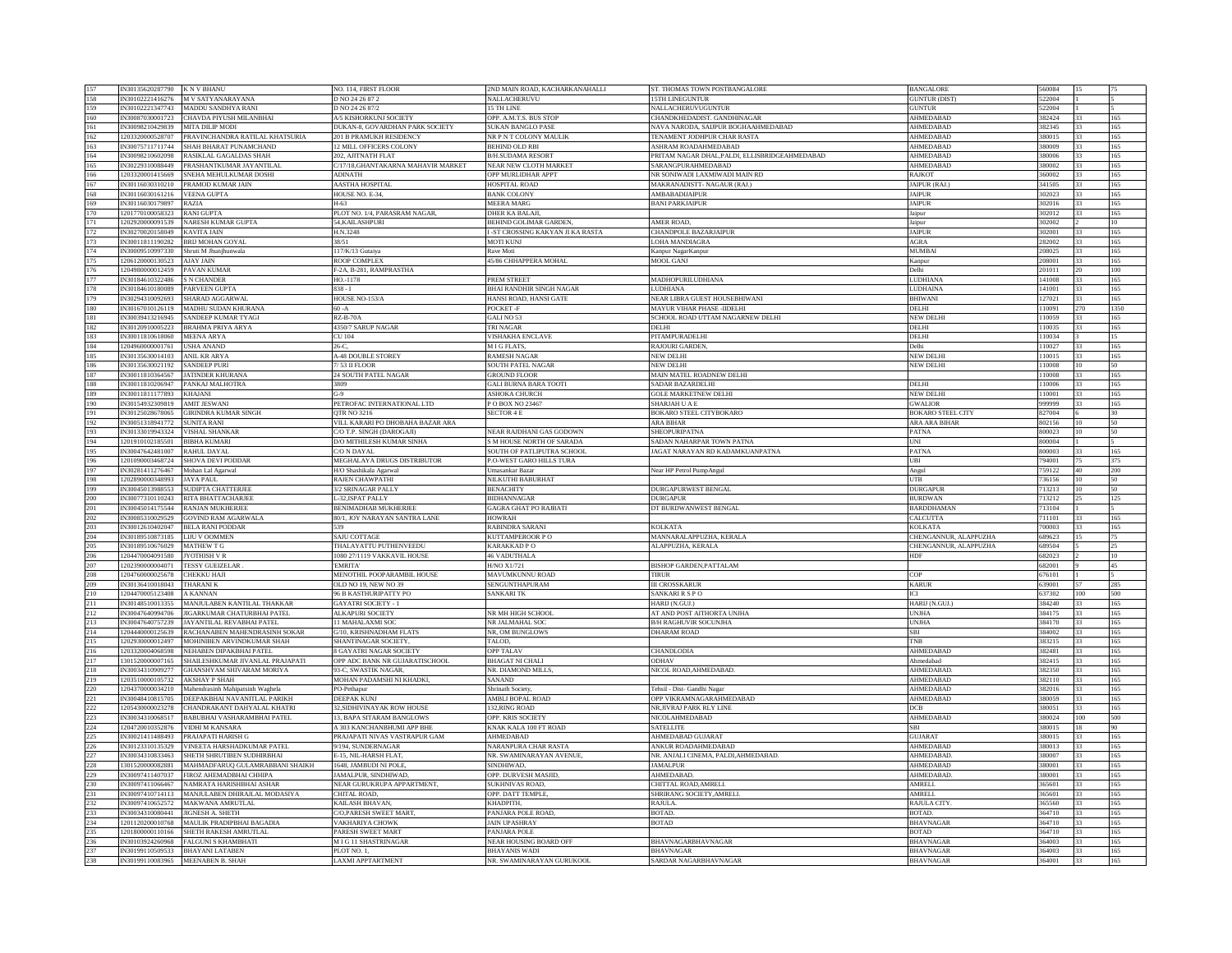| 157        | IN30135620287790 K N V BHANU         |                                                                              | NO. 114, FIRST FLOOR                                      | 2ND MAIN ROAD, KACHARKANAHALLI                    | ST. THOMAS TOWN POSTBANGALORE                                      | <b>BANGALORE</b>                     | 560084           |                               |
|------------|--------------------------------------|------------------------------------------------------------------------------|-----------------------------------------------------------|---------------------------------------------------|--------------------------------------------------------------------|--------------------------------------|------------------|-------------------------------|
| 158        |                                      | IN30102221416276 M V SATYANARAYANA                                           | D NO 24 26 87 2                                           | NALLACHERUVU                                      | <b>15TH LINEGUNTUR</b>                                             | <b>GUNTUR (DIST)</b>                 | 522004           |                               |
| 159        | N30102221347743                      | MADDU SANDHYA RANI                                                           | D NO 24 26 87/2                                           | 15 TH LINE                                        | NALLACHERUVUGUNTUR                                                 | <b>GUNTUR</b>                        | 522004           |                               |
|            |                                      |                                                                              |                                                           |                                                   |                                                                    |                                      |                  |                               |
| 160<br>161 | IN30087030001723<br>IN30098210429839 | CHAVDA PIYUSH MILANBHAI<br>MITA DILIP MODI                                   | A/5 KISHORKUNJ SOCIETY<br>DUKAN-8, GOVARDHAN PARK SOCIETY | OPP. A.M.T.S. BUS STOP<br>SUKAN BANGLO PASE       | CHANDKHEDADIST. GANDHINAGAR<br>NAVA NARODA, SAIJPUR BOGHAAHMEDABAD | AHMEDABAD<br><b>AHMEDARAD</b>        | 382424<br>382345 | 165<br>$\overline{33}$<br>165 |
|            |                                      |                                                                              |                                                           |                                                   |                                                                    |                                      |                  |                               |
| 162        | 1203320000528707                     | PRAVINCHANDRA RATILAL KHATSURIA                                              | 201 B PRAMUKH RESIDENCY                                   | NR P N T COLONY MAULIK                            | TENAMENT JODHPUR CHAR RASTA                                        | AHMEDABAD                            | 380015           | 165<br>33                     |
| 163        |                                      | IN30075711711744 SHAH BHARAT PUNAMCHAND                                      | 2 MILL OFFICERS COLONY                                    | <b>BEHIND OLD RBI</b>                             | ASHRAM ROADAHMEDABAD                                               | AHMEDABAD                            | 380009           | 33.<br>165                    |
| 164        | IN30098210602098                     | RASIKLAL GAGALDAS SHAH                                                       | 202, AJITNATH FLAT                                        | <b>B/H.SUDAMA RESORT</b>                          | PRITAM NAGAR DHAL, PALDI, ELLISBRIDGEAHMEDABAD                     | <b>AHMEDABAD</b>                     | 380006           | 165<br>33                     |
| 165        | N30229310088449                      | PRASHANTKUMAR JAYANTILAL                                                     | 717/18, GHANTAKARNA MAHAVIR MARKET                        | NEAR NEW CLOTH MARKET                             | SARANGPURAHMEDABAD                                                 | AHMEDABAD                            | 380002           | 165                           |
| 166        | 1203320001415669                     | SNEHA MEHULKUMAR DOSHI                                                       | <b>ADINATH</b>                                            | OPP MURLIDHAR APPT                                | NR SONIWADI LAXMIWADI MAIN RD                                      | <b>RAJKOT</b>                        | 360002           | 22<br>165                     |
| 167        |                                      | IN30116030310210 PRAMOD KUMAR JAIN                                           | <b>AASTHA HOSPITAL</b>                                    | <b>HOSPITAL ROAD</b>                              | MAKRANADISTT- NAGAUR (RAJ.)                                        | JAIPUR (RAJ,                         | 341505           | 33<br>165                     |
| 168        | N30116030161216                      | <b>VEENA GUPTA</b>                                                           | HOUSE NO. E-34,                                           | <b>BANK COLONY</b>                                | <b>AMBABADUAIPUR</b>                                               | <b>JAIPUR</b>                        | 302023           | 33<br>165                     |
| 169        | IN30116030179897                     | <b>RAZIA</b>                                                                 | H-63                                                      | <b>MEERA MARG</b>                                 | <b>BANI PARKJAIPUR</b>                                             | <b>JAIPUR</b>                        | 302016           | 165<br>33.                    |
| 170        | 201770100058323                      | RANI GUPTA                                                                   | PLOT NO. 1/4, PARASRAM NAGAR,                             | <b>DHER KA BALAJI</b>                             |                                                                    | Jaipur                               | 302012           | 165<br>33                     |
| 171        | 202920000091539                      | <b>VARESH KUMAR GUPTA</b>                                                    | 54, KAILASHPURI                                           | <b>BEHIND GOLIMAR GARDEN</b>                      | AMER ROAD,                                                         | Jaipur                               | 302002           |                               |
| 172        | IN30270020158049                     | <b>KAVITA JAIN</b>                                                           | H.N.3248                                                  | I -ST CROSSING KAKYAN JI KA RASTA                 | <b>CHANDPOLE BAZARJAIPUR</b>                                       | <b>JAIPUR</b>                        | 302001           | 165                           |
| 173        | IN30011811190282                     | <b>BRIJ MOHAN GOYAL</b>                                                      | 38/51                                                     | <b>MOTI KUNJ</b>                                  | LOHA MANDIAGRA                                                     | AGRA                                 | 282002           | 33<br>165                     |
| 174        | IN30009510997330                     | Shruti M Jhunjhunwala                                                        | 117/K/13 Gutaiva                                          | Rave Moti                                         | Kanpur NagarKanpur                                                 | <b>MUMBAI</b>                        | 208025           | $33 -$<br>165                 |
| 175        | 1206120000130523                     | <b>AIAY JAIN</b>                                                             | ROOP COMPLEX                                              | 45/86 CHHAPPERA MOHAL                             | <b>MOOL GANJ</b>                                                   | Kanpur                               | 208001           | 165<br>33.                    |
| 176        | 204980000012459                      | AVAN KUMAR                                                                   | -2A, B-281, RAMPRASTHA                                    |                                                   |                                                                    | <b>Oelhi</b>                         | 01011            | 100                           |
| 177        | IN30184610322486                     | S N CHANDER                                                                  | HO.-1178                                                  | PREM STREET                                       | <b>MADHOPURILUDHIANA</b>                                           | LUDHIANA                             | 141008           | 165                           |
| 178        | IN30184610180089                     | <b>PARVEEN GUPTA</b>                                                         | $838 - 1$                                                 | <b>BHAI RANDHIR SINGH NAGAR</b>                   | <b>LUDHIANA</b>                                                    | <b>LUDHAINA</b>                      | 141001           | 33<br>165                     |
|            | IN30294310092693                     | SHARAD AGGARWAL                                                              | HOUSE NO-153/A                                            | HANSI ROAD, HANSI GATE                            | NEAR LIBRA GUEST HOUSEBHIWANI                                      | <b>BHIWANI</b>                       | 127021           | 33<br>165                     |
| 179<br>180 | IN30167010126119                     | <b>MADHU SUDAN KHURANA</b>                                                   | $60 - A$                                                  | POCKET-F                                          | <b>MAYUR VIHAR PHASE - IIDELHI</b>                                 | DELHI                                | 110091           | 270<br>1350                   |
|            |                                      | SANDEEP KUMAR TYAGI                                                          | <b>RZ-B-70A</b>                                           | <b>GALI NO 53</b>                                 | SCHOOL ROAD UTTAM NAGARNEW DELHI                                   | NEW DELHI                            |                  |                               |
| 181        | N30039413216945                      |                                                                              |                                                           |                                                   |                                                                    |                                      | 110059           | 165<br>33.                    |
| 182        | IN30120910005223                     | BRAHMA PRIYA ARYA                                                            | 1350/7 SARUP NAGAR                                        | <b>TRI NAGAR</b>                                  | DELHI                                                              | DELHI                                | 10035            | 165                           |
| 183        | IN30011810618060                     | <b>MEENA ARYA</b>                                                            | CU 104                                                    | <b>VISHAKHA ENCLAVE</b>                           | PITAMPURADELHI                                                     | DELHI                                | 110034           | 15                            |
| 184        | 1204960000001761                     | <b>USHA ANAND</b>                                                            | $26 - C$                                                  | MIGFLATS,                                         | RAJOURI GARDEN.                                                    | Delhi                                | 110027           | 165<br>33                     |
| 185        | IN30135630014103                     | ANIL KR ARYA                                                                 | <b>A-48 DOUBLE STOREY</b>                                 | <b>RAMESH NAGAR</b>                               | <b>NEW DELHI</b>                                                   | <b>NEW DELHI</b>                     | 110015           | 33<br>165                     |
| 186        | IN30135630021192                     | <b>SANDEEP PURI</b>                                                          | $/53$ II FLOOR                                            | <b>SOUTH PATEL NAGAR</b>                          | <b>NEW DELHI</b>                                                   | NEW DELHI                            | 110008           | 10<br>50                      |
| 187        | N30011810364567                      | <b>ATINDER KHURANA</b>                                                       | 4 SOUTH PATEL NAGAR                                       | <b>GROUND FLOOR</b>                               | MAIN MATEL ROADNEW DELHI                                           |                                      | 10008            | 165<br>33.                    |
| 188        | IN30011810206947                     | PANKAJ MALHOTRA                                                              | 809                                                       | <b>GALI BURNA BARA TOOTI</b>                      | <b>SADAR BAZARDELHI</b>                                            | DELHI                                | 1000t            | 165                           |
| 189        | IN30011811177893                     | <b>KHAJANI</b>                                                               | G-9                                                       | <b>ASHOKA CHURCH</b>                              | <b>GOLE MARKETNEW DELHI</b>                                        | <b>NEW DELH</b>                      | 110001           | 33<br>165                     |
| 190        | N30154932309819                      | <b>AMIT JESWANI</b>                                                          | PETROFAC INTERNATIONAL LTD                                | P O BOX NO 23467                                  | SHARJAH U A E                                                      | <b>GWALIOR</b>                       | 999999           | 33<br>165                     |
| 191        | IN30125028678065                     | <b>GIRINDRA KUMAR SINGH</b>                                                  | <b>OTR NO 3216</b>                                        | <b>SECTOR 4 E</b>                                 | BOKARO STEEL CITYBOKARO                                            | <b>BOKARO STEEL CITY</b>             | 827004           | 30                            |
| 192        | N30051318941772                      | <b>SUNITA RANI</b>                                                           | <b>ILL KARARI PO DHOBAHA BAZAR ARA</b>                    |                                                   | <b>ARA BIHAR</b>                                                   | ARA ARA BIHAR                        | 802156           | 10<br>50                      |
| 193        | N30133019943324                      | <b>VISHAL SHANKAR</b>                                                        | <b>O T.P. SINGH (DAROGAJI)</b>                            | NEAR RAJDHANI GAS GODOWN                          | SHEOPURIPATNA                                                      | PATNA                                | 800023           | 50                            |
| 194        | 1201910102185501                     | <b>BIBHA KUMARI</b>                                                          | D/O MITHILESH KUMAR SINHA                                 | S M HOUSE NORTH OF SARADA                         | SADAN NAHARPAR TOWN PATNA                                          | <b>INI</b>                           | 800004           |                               |
| 195        | IN30047642481007                     | RAHUL DAYAL                                                                  | C/O N DAYAL                                               | SOUTH OF PATLIPUTRA SCHOOL                        | JAGAT NARAYAN RD KADAMKUANPATNA                                    | PATNA                                | 800003           | 165<br>33                     |
| 196        | 1201090003468724                     | <b>SHOVA DEVI PODDAR</b>                                                     | MEGHALAYA DRUGS DISTRIBUTOR                               | P.O-WEST GARO HILLS TURA                          |                                                                    | UBI                                  | 794001           | 75<br>375                     |
| 197        | N30281411276467                      | Mohan Lal Agarwal                                                            | H/O Shashikala Agarwal                                    | Umasankar Bazar                                   | Near HP Petrol PumpAngul                                           | Angul                                | 759122           | 200<br>40.                    |
| 198        | 202890000348993                      | <b>AYA PAUL</b>                                                              | <b>AJEN CHAWPATHI</b>                                     | NILKUTHI BABURHAT                                 |                                                                    | UTB                                  | 36156            | 50                            |
| 199        | N30045013988553                      | <b>SUDIPTA CHATTERJEE</b>                                                    | 2 SRINAGAR PALLY                                          | <b>BENACHITY</b>                                  | DURGAPURWEST BENGAL                                                | <b>DURGAPUR</b>                      | 713213           |                               |
| 200        | IN30077310110243                     | <b>RITA BHATTACHARIEF</b>                                                    | -32 ISPAT PALLY                                           | <b>BIDHANNAGAR</b>                                | <b>DURGAPUR</b>                                                    | <b>BURDWAN</b>                       | 713212           | 25<br>125                     |
| 201        | N30045014175544                      | <b>RANJAN MUKHERJEE</b>                                                      | BENIMADHAB MUKHERJEE                                      | <b>GAGRA GHAT PO RAJBATI</b>                      | DT BURDWANWEST BENGAL                                              | <b>BARDDHAMAN</b>                    | 713104           |                               |
|            |                                      |                                                                              |                                                           |                                                   |                                                                    |                                      |                  |                               |
| $202\,$    | IN30085310029529                     | <b>GOVIND RAM AGARWALA</b>                                                   | 80/1, JOY NARAYAN SANTRA LANE                             | <b>HOWRAH</b><br><b>RABINDRA SARANI</b>           | <b>KOLKATA</b>                                                     | CALCUTTA                             | 711101           | 33<br>165                     |
| 203        | IN30012610402047                     | <b>BELA RANI PODDAR</b>                                                      | 539                                                       |                                                   |                                                                    | KOLKATA                              | 700003           | 33.<br>165                    |
| 204        | N30189510873185                      | <b>JJU V OOMMEN</b>                                                          | SAJU COTTAGE<br>THALAYATTU PUTHENVEEDU                    | KUTTAMPEROOR PO                                   | MANNARALAPPUZHA, KERALA                                            | CHENGANNUR, ALAPPUZHA                | 589623           |                               |
| 205        | IN30189510676029                     | <b>MATHEW T G</b>                                                            |                                                           | <b>KARAKKADPO</b>                                 | ALAPPUZHA, KERALA                                                  |                                      |                  |                               |
| 206        | 1204470004091580                     |                                                                              |                                                           |                                                   |                                                                    | CHENGANNUR, ALAPPUZHA                | 689504           | 25                            |
| 207        |                                      | <b>JYOTHISH V R</b>                                                          | 1080 27/1119 VAKKAVIL HOUSE                               | 46 VADUTHALA                                      |                                                                    | <b>HDF</b>                           | 682023           | 10                            |
| 208        | 1202390000004071                     | <b>TESSY GUEIZELAR</b>                                                       | <b>EMRITA</b>                                             | H/NO X1/721                                       | BISHOP GARDEN, PATTALAM                                            |                                      | 682001           | 45                            |
|            | 1204760000025678                     | CHEKKU HAJI                                                                  | MENOTHIL POOPARAMBIL HOUSE                                | <b>MAVUMKUNNU ROAD</b>                            | TIRUR                                                              | COP                                  | 676101           |                               |
| 209        | N30136410018043                      | <b>THARANIK</b>                                                              | <b>OLD NO 19, NEW NO 39</b>                               | SENGUNTHAPURAM                                    | <b>III CROSSKARUR</b>                                              | KARUR                                | 539001           | 285<br>57                     |
| 210        | 1204470005123408                     | <b>A KANNAN</b>                                                              | <b>96 B KASTHURIPATTY PO</b>                              | <b>SANKARI TK</b>                                 | SANKARI R S P O                                                    |                                      | 637302           | $100\,$<br>500                |
| 211        | IN30148510013355                     | MANIULABEN KANTILAL THAKKAR                                                  | <b>GAYATRI SOCIETY - 1</b>                                |                                                   | HARIJ (N GUI)                                                      | HARIJ (N GUI)                        | 384240           | 33<br>165                     |
| 212        | N30047640994706                      | <b>JIGARKUMAR CHATURBHAI PATEL</b>                                           | <b>ALKAPURI SOCIETY</b>                                   | NR MH HIGH SCHOOL                                 | AT AND POST AITHORTA UNJHA                                         | <b>UNJHA</b>                         | 384175           | 33<br>165                     |
| 213        |                                      | IN30047640757239 JAYANTILAL REVABHAI PATEL                                   | 11 MAHALAXMI SOC                                          | NR JALMAHAL SOC                                   | <b>B/H RAGHUVIR SOCUNJHA</b>                                       | <b>UNJHA</b>                         | 384170           | 165<br>33                     |
| 214        | 1204440000125639                     | RACHANABEN MAHENDRASINH SOKAR                                                | <b>G/10. KRISHNADHAM FLATS</b>                            | NR, OM BUNGLOWS                                   | <b>DHARAM ROAD</b>                                                 | SBI                                  | 384002           | 165<br>33                     |
| 215        | 202930000012497                      | MOHINIBEN ARVINDKUMAR SHAH                                                   | HANTINAGAR SOCIETY.                                       | TALOD,                                            |                                                                    | TNB                                  | 383215           | 165                           |
| 216        | 1203320004068598                     | NEHABEN DIPAKBHAI PATEL                                                      | <b>8 GAYATRI NAGAR SOCIETY</b>                            | <b>OPP TALAV</b>                                  | CHANDLODIA                                                         | AHMEDABAD                            | 382481           | 33<br>165                     |
| 217        | 1301520000007165                     | SHAILESHKUMAR JIVANLAL PRAJAPATI                                             | OPP ADC BANK NR GUJARATISCHOOL                            | <b>BHAGAT NI CHALI</b>                            | <b>ODHAV</b>                                                       | Ahmedabad                            | 382415           | 33<br>165                     |
| 218        | IN30034310909277                     | GHANSHYAM SHIVARAM MORIYA                                                    | 93-C, SWASTIK NAGAR,                                      | NR. DIAMOND MILLS,                                | NICOL ROAD, AHMEDABAD.                                             | <b>AHMEDABAD</b>                     | 382350           | 33<br>165                     |
|            | 1203510000105732                     |                                                                              |                                                           | <b>SANAND</b>                                     |                                                                    | AHMEDABAD                            | 382110           | 165<br>$33 -$                 |
| 219        |                                      | AKSHAY P SHAH<br>Mahendrasinh Mahipatsinh Waghela                            | MOHAN PADAMSHI NI KHADKI,<br>PO-Pethapur                  | Shrinath Society                                  | Tehsil - Dist- Gandhi Nagar                                        | AHMEDABAD                            | 882016           | 165<br>33                     |
| 220        | 204370000034210<br>N30048410815705   |                                                                              | <b>DEEPAK KUNJ</b>                                        | AMBLI BOPAL ROAD                                  | OPP VIKRAMNAGARAHMEDABAD                                           | <b>AHMEDABAD</b>                     | 380059           | 165                           |
| 221<br>222 | 1205430000023278                     | DEEPAKBHAI NAVANITLAL PARIKH<br>CHANDRAKANT DAHYALAL KHATRI                  | <b>32. SIDHIVINAYAK ROW HOUSE</b>                         | 132 RING ROAD                                     | NR.JIVRAJ PARK RLY LINE                                            | <b>DCB</b>                           | 380051           | 33<br>165                     |
|            |                                      |                                                                              |                                                           |                                                   |                                                                    |                                      | 380024           |                               |
| 223        | N30034310068517                      | BABUBHAI VASHARAMBHAI PATEL                                                  | 3, BAPA SITARAM BANGLOWS                                  | OPP. KRIS SOCIETY                                 | NICOLAHMEDABAD                                                     | AHMEDABAD                            |                  | 100<br>500                    |
| $224\,$    | 1204720010352876                     | VIDHI M KANSARA                                                              | <b>A 303 KANCHANBHUMI APP BHE</b>                         | KNAK KALA 100 FT ROAD                             | <b>SATELLITE</b>                                                   | <b>SBI</b>                           | 380015           | 18<br>90                      |
| 225        | IN30021411488493                     | PRAJAPATI HARISH G                                                           | PRAJAPATI NIVAS VASTRAPUR GAM                             | <b>AHMEDABAD</b>                                  | <b>AHMEDARAD GUIARAT</b>                                           | <b>GUIARAT</b>                       | 380015           | 33.<br>165                    |
| 226        | V30123310135329                      | <b>/INEETA HARSHADKUMAR PATEL</b>                                            | /194, SUNDERNAGAR                                         | NARANPURA CHAR RASTA                              | <b>ANKUR ROADAHMEDABAD</b>                                         | AHMEDABAD                            | 880013           | 165                           |
| 227        | IN30034310833463                     | SHETH SHRUTIBEN SUDHIRBHAI                                                   | E-15, NIL-HARSH FLAT                                      | NR. SWAMINARAYAN AVENUE                           | NR. ANJALI CINEMA, PALDI, AHMEDABAD                                | AHMEDABAD.                           | 380007           | 165                           |
| 228        | 1301520000082881                     | MAHMADFARUO GULAMRABBANI SHAIKH                                              | 1648 JAMBUDI NI POLE                                      | SINDHIWAD.                                        | <b>JAMALPUR</b>                                                    | <b>AHMEDARAD</b>                     | 380001           | 33<br>165                     |
| 229        | IN30097411407037                     | FIROZ AHEMADBHAI CHHIPA                                                      | AMALPUR, SINDHIWAD                                        | OPP. DURVESH MASJID,                              | <b>AHMEDABAD</b>                                                   | <b>AHMEDABAD</b>                     | 380001           | 33<br>165                     |
| 230        | IN30097411066467                     | NAMRATA HARISHBHAI ASHAR                                                     | NEAR GURUKRUPA APPARTMENT.                                | <b>SUKHNIVAS ROAD.</b>                            | CHITTAL ROAD.AMRELI.                                               | <b>AMRELL</b>                        | 365601           | 165<br>33.                    |
| 231        | N30097410714113                      | MANJULABEN DHIRAJLAL MODASIYA                                                | CHITAL ROAD,                                              | OPP. DATT TEMPLE,                                 | SHRIRANG SOCIETY, AMRELI                                           | AMRELI.                              | 365601           | 165<br>33.                    |
| 232        | IN30097410652572                     | MAKWANA AMRUTLAL                                                             | KAILASH BHAVAN,                                           | <b>KHADPITH</b>                                   | RAJULA.                                                            | <b>RAJULA CITY</b>                   | 65560            | 165                           |
| 233        | IN30034310080441                     | <b>JIGNESH A. SHETH</b>                                                      | <b>COPARESH SWEET MART</b>                                | PANJARA POLE ROAD.                                | <b>BOTAD.</b>                                                      | <b>BOTAD</b>                         | 364710           | 22.<br>165                    |
| 234        | 1201120200010768                     | MAULIK PRADIPBHAI BAGADIA                                                    | <b>VAKHARIYA CHOWK</b>                                    | <b>JAIN UPASHRAY</b>                              | <b>BOTAD</b>                                                       | <b>BHAVNAGAR</b>                     | 364710           | 165<br>33                     |
| 235        |                                      | 1201800000110166 SHETH RAKESH AMRUTLAL                                       | <b>PARESH SWEET MART</b>                                  | PANJARA POLE                                      |                                                                    | <b>BOTAD</b>                         | 364710           | 33<br>165                     |
| 236        |                                      | N30103924260968 FALGUNIS KHAMBHATI                                           | <b>MIG 11 SHASTRINAGAR</b>                                | NEAR HOUSING BOARD OFF                            | <b>BHAVNAGARBHAVNAGAR</b>                                          | <b>BHAVNAGAR</b>                     | 364003           | 165<br>33.                    |
| 237<br>238 |                                      | <b>IN30199110509533 BHAYANI LATABEN</b><br>IN30199110083965 MEENABEN B. SHAH | PLOT NO. 1,<br><b>LAXMI APPTARTMENT</b>                   | <b>BHAYANIS WADI</b><br>NR. SWAMINARAYAN GURUKOOL | <b>BHAVNAGAR</b><br>SARDAR NAGARBHAVNAGAR                          | <b>BHAVNAGAR</b><br><b>BHAVNAGAR</b> | 364003<br>364001 | 165<br>33<br>33<br>165        |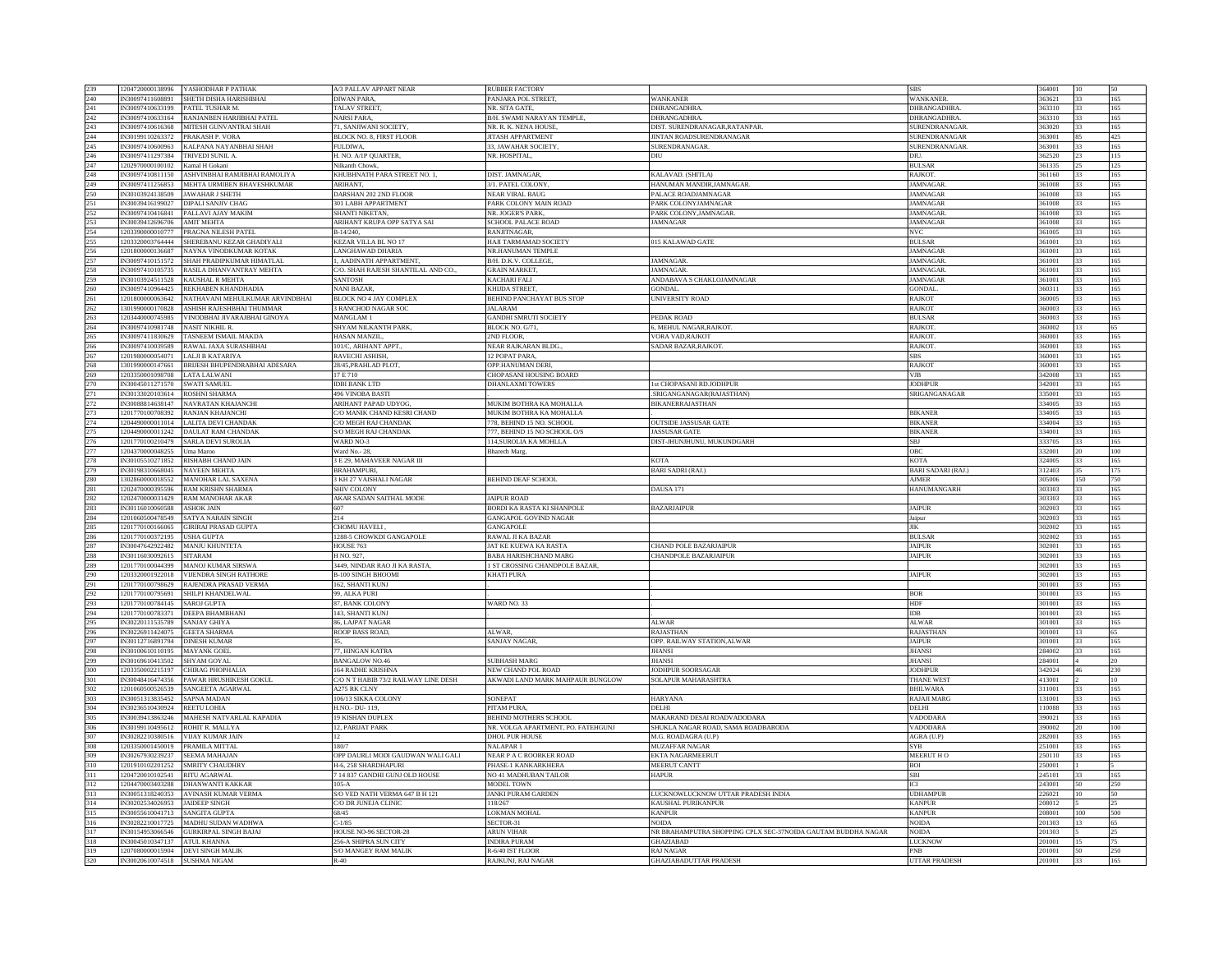| 239        | 1204720000138996 YASHODHAR P PATHAK                                | A/3 PALLAV APPART NEAR                | <b>RUBBER FACTORY</b>                  |                                                              | <b>SBS</b>                         | 364001           |          |            |
|------------|--------------------------------------------------------------------|---------------------------------------|----------------------------------------|--------------------------------------------------------------|------------------------------------|------------------|----------|------------|
| 240        | IN30097411608891<br>SHETH DISHA HARISHBHAI                         | DIWAN PARA.                           | PANJARA POL STREET.                    | <b>WANKANER</b>                                              | <b>WANKANER.</b>                   | 363621           | 33       | 165        |
|            |                                                                    |                                       |                                        |                                                              |                                    |                  |          |            |
| 241        | PATEL TUSHAR M.<br>IN30097410633199                                | <b>TALAV STREET.</b>                  | NR. SITA GATE,                         | DHRANGADHRA.                                                 | DHRANGADHRA.                       | 363310           | 33       | 165        |
| 242        | IN30097410633164<br>RANJANBEN HARJIBHAI PATEL                      | <b>NARSI PARA,</b>                    | B/H. SWAMI NARAYAN TEMPLE,             | DHRANGADHRA.                                                 | DHRANGADHRA.                       | 363310           | 33       | 165        |
| 243        | MITESH GUNVANTRAI SHAH<br>IN30097410616368                         | 71. SANJIWANI SOCIETY.                | NR. R. K. NENA HOUSE,                  | DIST. SURENDRANAGAR, RATANPAR                                | <b>SURENDRANAGAR</b>               | 363020           | 33       | 165        |
| 244        | IN30199110263372<br>PRAKASH P. VORA                                | <b>BLOCK NO. 8, FIRST FLOOR</b>       | <b>JITASH APPARTMENT</b>               | JINTAN ROADSURENDRANAGAR                                     | SURENDRANAGAR                      | 363001           | 85       | 425        |
|            | IN30097410600963                                                   |                                       |                                        |                                                              |                                    | 363001           |          |            |
| 245        | KALPANA NAYANBHAI SHAH                                             | FULDIWA,                              | 33, JAWAHAR SOCIETY,                   | SURENDRANAGAR.                                               | SURENDRANAGAR                      |                  | 33       | 165        |
| 246        | IN30097411297384<br>TRIVEDI SUNIL A.                               | H. NO. A/1P QUARTER,                  | NR. HOSPITAL,                          | DIU                                                          | DIU.                               | 362520           | 23       | 115        |
| 247        | 1202970000100102<br>Camal H Gokani                                 | Vilkanth Chowk,                       |                                        |                                                              | <b>BULSAR</b>                      | 61335            |          | 125        |
| 248        | IN30097410811150<br>ASHVINBHAI RAMJIBHAI RAMOLIYA                  | KHUBHNATH PARA STREET NO. 1,          | DIST. JAMNAGAR                         | KALAVAD. (SHITLA)                                            | RAJKOT.                            | 361160           | 33       | 165        |
| 249        | MEHTA URMIBEN BHAVESHKUMAR<br>IN30097411256853                     | <b>ARIHANT</b>                        | 3/1. PATEL COLONY                      | HANUMAN MANDIR, JAMNAGAR.                                    | <b>JAMNAGAE</b>                    | 361008           | 33       | 165        |
|            |                                                                    |                                       |                                        |                                                              |                                    |                  |          |            |
| 250        | IN30103924138509<br><b>JAWAHAR J SHETH</b>                         | DARSHAN 202 2ND FLOOR                 | NEAR VIRAL BAUG                        | PALACE ROADJAMNAGAR                                          | <b>JAMNAGAR</b>                    | 361008           | 33       | 165        |
| 251        | IN30039416199027<br>DIPALI SANJIV CHAG                             | 301 LABH APPARTMENT                   | PARK COLONY MAIN ROAD                  | PARK COLONYJAMNAGAR                                          | <b>JAMNAGAR</b>                    | 361008           | 33       | 165        |
| 252        | <b>PALLAVI AJAY MAKIM</b><br>IN30097410416841                      | SHANTI NIKETAN.                       | NR. JOGER'S PARK.                      | ARK COLONY, JAMNAGAR                                         | <b>JAMNAGAR</b>                    | 361008           | 33       | 165        |
| 253        | <b>MIT MEHTA</b>                                                   | ARIHANT KRUPA OPP SATYA SAI           |                                        | AMNAGAR                                                      |                                    |                  |          |            |
|            | IN30039412696706                                                   |                                       | SCHOOL PALACE ROAD                     |                                                              | <b>JAMNAGAR</b>                    | 361008           |          | 165        |
| 254        | 1203390000010777<br>PRAGNA NILESH PATEL                            | B-14/240.                             | RANJITNAGAR,                           |                                                              | <b>NVC</b>                         | 361005           | 33       | 165        |
| 255        | 1203320003764444<br>SHEREBANU KEZAR GHADIYALI                      | <b>KEZAR VILLA BL NO 17</b>           | HAJI TARMAMAD SOCIETY                  | 015 KALAWAD GATE                                             | <b>BULSAR</b>                      | 361001           | 33       | 165        |
| 256        | 1201800000136687<br>NAYNA VINODKUMAR KOTAK                         | LANGHAWAD DHARIA                      | NR.HANUMAN TEMPLE                      |                                                              | <b>JAMNAGAE</b>                    | 361001           | 33       | 165        |
| 257        | IN30097410151572<br>SHAH PRADIPKUMAR HIMATLAI                      | , AADINATH APPARTMENT,                | B/H. D.K.V. COLLEGE,                   | <b>JAMNAGAR</b>                                              | <b>JAMNAGAR</b>                    | 361001           | 33       | 165        |
|            |                                                                    |                                       |                                        |                                                              |                                    |                  |          |            |
| 258        | N30097410105735<br>RASILA DHANVANTRAY MEHTA                        | C/O. SHAH RAJESH SHANTILAL AND CO.    | <b>GRAIN MARKET</b>                    | <b>MNAGAR</b>                                                | AMNAGAR                            | 61001            | 33       | 165        |
| 259        | <b>CAUSHAL R MEHTA</b><br>IN30103924511528                         | SANTOSH                               | <b>KACHARI FALI</b>                    | ANDABAVA S CHAKLOJAMNAGAR                                    | <b>JAMNAGAR</b>                    | 361001           | 33       | 165        |
| 260        | IN30097410964425 REKHAREN KHANDHADIA                               | <b>NANI BAZAR</b>                     | <b>KHIJDA STREET</b>                   | <b>GONDAL</b>                                                | <b>GONDAI</b>                      | 360311           | 33       | 165        |
| 261        | NATHAVANI MEHULKUMAR ARVINDBHAI<br>1201800000063642                | <b>BLOCK NO 4 JAY COMPLEX</b>         | BEHIND PANCHAYAT BUS STOP              | <b>INIVERSITY ROAD</b>                                       | <b>RAJKOT</b>                      | 360005           | 33       | 165        |
|            |                                                                    |                                       |                                        |                                                              |                                    |                  |          |            |
| 262        | 1301990000170828<br>ASHISH RAJESHBHAI THUMMAR                      | 3 RANCHOD NAGAR SOC                   | <b>JALARAM</b>                         |                                                              | <b>RAJKOT</b>                      | 360003           | 33       | 165        |
| 263        | 1203440000745985<br>VINODBHAI JIVARAJBHAI GINOYA                   | MANGLAM <sub>1</sub>                  | <b>GANDHI SMRUTI SOCIETY</b>           | PEDAK ROAD                                                   | <b>BULSAR</b>                      | 360003           | 33       | 165        |
| 264        | N30097410981748<br><b>JASIT NIKHIL R</b>                           | SHYAM NILKANTH PARK,                  | BLOCK NO. G/71,                        | MEHUL NAGAR, RAJKOT                                          | RAJKOT.                            | 60002            |          |            |
| 265        | <b>TASNEEM ISMAIL MAKDA</b><br>IN30097411830629                    | HASAN MANZIL.                         | 2ND FLOOR                              | <b>VORA VAD.RAJKOT</b>                                       | <b>RAJKOT</b>                      | 360001           | 33       | 165        |
|            |                                                                    |                                       |                                        |                                                              |                                    |                  |          |            |
| 266        | IN30097410039589<br>RAWAL JAXA SURASHBHAI                          | 101/C, ARIHANT APPT.                  | NEAR RAJKARAN BLDG.,                   | SADAR BAZAR, RAJKOT.                                         | <b>RAJKOT</b>                      | 360001           | 33       | 165        |
| 267        | 1201980000054071<br>LALJI B KATARIYA                               | RAVECHI ASHISH.                       | 12 POPAT PARA                          |                                                              | <b>SBS</b>                         | 360001           | 33       | 165        |
| 268        | BRIJESH BHUPENDRABHAI ADESARA<br>1301990000147661                  | 28/45, PRAHLAD PLOT,                  | OPP.HANUMAN DERI                       |                                                              | <b>RAJKOT</b>                      | 360001           | 33       | 165        |
| 269        | LATA LALWANI<br>1203350001098708                                   | 17E710                                | CHOPASANI HOUSING BOARD                |                                                              | VJB                                | 342008           | 33       | 165        |
|            |                                                                    |                                       |                                        |                                                              |                                    |                  |          |            |
| 270        | IN30045011271570<br><b>SWATI SAMUEL</b>                            | <b>IDBI BANK LTD</b>                  | <b>DHANLAXMI TOWERS</b>                | t CHOPASANI RD.JODHPUF                                       | <b>JODHPUI</b>                     | 342001           | 33       | 165        |
| 271        | IN30133020103614<br><b>ROSHNI SHARMA</b>                           | <b>496 VINORA BASTI</b>               |                                        | SRIGANGANAGAR(RAJASTHAN)                                     | SRIGANGANAGAR                      | 335001           | 33       | 165        |
| 272        | IN30088814638147<br>NAVRATAN KHAJANCHI                             | ARIHANT PAPAD UDYOG,                  | MUKIM BOTHRA KA MOHALLA                | <b>BIKANERRAJASTHAN</b>                                      |                                    | 334005           | 33       | 165        |
| 273        | 1201770100708392<br><b>RANJAN KHAJANCHI</b>                        | C/O MANIK CHAND KESRI CHAND           | MUKIM BOTHRA KA MOHALLA                |                                                              | <b>BIKANEF</b>                     | 334005           | 33       | 165        |
|            |                                                                    | <b>CO MEGH RAJ CHANDAK</b>            | 778. BEHIND 15 NO. SCHOOL              |                                                              | <b>BIKANER</b>                     | 334004           |          |            |
| 274        | 1204490000011014<br><b>LALITA DEVI CHANDAK</b>                     |                                       |                                        | <b>OUTSIDE JASSUSAR GATE</b>                                 |                                    |                  | 33       | 165        |
| 275        | 1204490000011242<br><b>DAULAT RAM CHANDAK</b>                      | <b>S/O MEGH RAJ CHANDAK</b>           | 77, BEHIND 15 NO SCHOOL O/S            | <b>ASSUSAR GATE</b>                                          | BIKANEF                            | 334001           | 33       | 165        |
| 276        | 1201770100210479 SARLA DEVI SUROLIA                                | <b>WARD NO-3</b>                      | 114, SUROLIA KA MOHLLA                 | DIST-JHUNJHUNU, MUKUNDGARH                                   | <b>SBJ</b>                         | 333705           | 33       | 165        |
| 277        | 1204370000048255<br>Uma Maroo                                      | Ward No.- 28.                         | <b>Bharech</b> Marg                    |                                                              | OBC                                | 332001           | 20       | 100        |
|            |                                                                    |                                       |                                        |                                                              |                                    |                  |          |            |
| 278        | IN30105510271852<br>RISHABH CHAND JAIN                             | 3 E 29, MAHAVEER NAGAR III            |                                        | <b>KOTA</b>                                                  | KOTA                               | 324005           | 33       | 165        |
| 279        | IN30198310668045<br><b>NAVEEN MEHTA</b>                            | BRAHAMPURI,                           |                                        | <b>BARI SADRI (RAJ.)</b>                                     | <b>BARI SADARI (RAJ.)</b>          | 312403           | 35       | 175        |
|            |                                                                    |                                       |                                        |                                                              |                                    |                  |          |            |
| 280        | 1302860000018552<br><b>MANOHAR LAL SAXENA</b>                      | 3 KH 27 VAISHALI NAGAR                | <b>BEHIND DEAF SCHOOL</b>              |                                                              | <b>AJMER</b>                       | 305006           | 150      | 750        |
|            |                                                                    |                                       |                                        |                                                              |                                    |                  |          |            |
| 281        | 1202470000395596<br>RAM KRISHN SHARMA                              | <b>SHIV COLONY</b>                    |                                        | <b>DAUSA 171</b>                                             | <b>HANUMANGARH</b>                 | 303303           |          | 165        |
| 282        | 1202470000031429<br><b>RAM MANOHAR AKAR</b>                        | AKAR SADAN SAITHAL MODE               | <b>JAIPUR ROAD</b>                     |                                                              |                                    | 303303           | 33       | 165        |
| 283        | IN30116010060588<br><b>ASHOK JAIN</b>                              | 607                                   | <b>BORDI KA RASTA KI SHANPOLE</b>      | <b>BAZARJAIPUR</b>                                           | <b>JAIPUR</b>                      | 302003           | 33       | 165        |
|            | 1201060500478549<br>SATYA NARAIN SINGH                             | 214                                   | <b>GANGAPOL GOVIND NAGAR</b>           |                                                              | Jaipur                             | 302003           | 33       | 165        |
| 284        |                                                                    |                                       |                                        |                                                              |                                    |                  |          |            |
| 285        | 1201770100166065<br><b>GIRIRAJ PRASAD GUPTA</b>                    | CHOMU HAVELI,                         | GANGAPOLE                              |                                                              | <b>JIK</b>                         | 302002           | 33       | 165        |
| 286        | 1201770100372195<br><b>ISHA GUPTA</b>                              | 1288-5 CHOWKDI GANGAPOLE              | RAWAL JI KA BAZAR                      |                                                              | <b>BULSAR</b>                      | 302002           |          | 165        |
| 287        | IN30047642922482<br>MANJU KHUNTETA                                 | HOUSE 763                             | JAT KE KUEWA KA RASTA                  | <b>HAND POLE BAZARJAIPUR</b>                                 | <b>JAIPUR</b>                      | 302001           | 33       | 165        |
| 288        | <b>SITARAM</b><br>IN30116030092615                                 | H NO. 927.                            | <b>BABA HARISHCHAND MARG</b>           | CHANDPOLE BAZARJAIPUR                                        | <b>JAIPUR</b>                      | 302001           | 33       | 165        |
|            |                                                                    |                                       |                                        |                                                              |                                    |                  |          |            |
| 289        | 1201770100044399<br><b>MANOJ KUMAR SIRSWA</b>                      | 3449, NINDAR RAO JI KA RASTA,         | <b>ST CROSSING CHANDPOLE BAZAR,</b>    |                                                              |                                    | 302001           | 33       | 165        |
| 290        | 1203320001922018<br><b>VIJENDRA SINGH RATHORE</b>                  | <b>B-100 SINGH BHOOMI</b>             | <b>KHATI PURA</b>                      |                                                              | <b>JAIPUR</b>                      | 302001           | 33       | 165        |
| 291        | <b>RAJENDRA PRASAD VERMA</b><br>1201770100798629                   | 162. SHANTI KUNI                      |                                        |                                                              |                                    | 301001           | 33       | 165        |
| 292        | 1201770100795691<br><b>HILPI KHANDELWAL</b>                        | 9. ALKA PURI                          |                                        |                                                              | <b>BOR</b>                         | 301001           |          | 165        |
|            | 1201770100784145<br><b>SAROJ GUPTA</b>                             | 37, BANK COLONY                       |                                        |                                                              | HDF                                | 301001           | 33       | 165        |
| 293        |                                                                    |                                       | WARD NO. 33                            |                                                              |                                    |                  |          |            |
| 294        | 1201770100783371<br>DEEPA BHAMBHANI                                | 143. SHANTI KUNJ                      |                                        |                                                              | IDB                                | 301001           | 33       | 165        |
| 295        | IN30220111535789<br><b>SANJAY GHIYA</b>                            | 86. LAJPAT NAGAR                      |                                        | <b>ALWAR</b>                                                 | <b>ALWAR</b>                       | 301001           | 33       | 165        |
| 296        | IN30226911424075<br><b>GEETA SHARMA</b>                            | ROOP BASS ROAD.                       | ALWAR.                                 | <b>RAJASTHAN</b>                                             | <b>RAJASTHAN</b>                   | 301001           | 13       | 65         |
|            | IN30112716891794<br><b>DINESH KUMAR</b>                            |                                       | <b>SANJAY NAGAR</b>                    | OPP. RAILWAY STATION, ALWAR                                  | <b>JAIPUR</b>                      | 301001           | 33       | 165        |
| 297        |                                                                    |                                       |                                        |                                                              |                                    |                  |          |            |
| 298        | IN30100610110195<br><b>MAYANK GOEL</b>                             | 77, HINGAN KATRA                      |                                        | <b>JHANS</b>                                                 | <b>JHANSI</b>                      | 284002           | 33       | 165        |
| 299        | IN30169610413502<br>SHYAM GOYAL                                    | <b>BANGALOW NO.46</b>                 | <b>SUBHASH MARG</b>                    | <b>IHANSI</b>                                                | <b>JHANSI</b>                      | 284001           |          | 20         |
| 300        | 1203350002215197<br>CHIRAG PHOPHALIA                               | <b>164 RADHE KRISHNA</b>              | NEW CHAND POL ROAD                     | JODHPUR SOORSAGAR                                            | <b>JODHPUR</b>                     | 342024           | 46       | 230        |
|            |                                                                    |                                       |                                        |                                                              |                                    |                  |          | 10         |
| 301        | IN30048416474356<br>PAWAR HRUSHIKESH GOKUL                         | C/O N T HABIB 73/2 RAILWAY LINE DESH  | AKWADI LAND MARK MAHPAUR BUNGLOW       | SOLAPUR MAHARASHTRA                                          | THANE WEST                         | 413001           |          |            |
| 302        | SANGEETA AGARWAL<br>1201060500526539                               | <b>A275 RK CLNY</b>                   |                                        |                                                              | <b>BHILWARA</b>                    | 311001           | 33       | 165        |
| 303        | IN30051313835452<br><b>APNA MADAN</b>                              | 106/13 SIKKA COLONY                   | SONEPAT                                | <b>HARYANA</b>                                               | RAJAJI MARG                        | 31001            |          | 165        |
| 304        | IN30236510430924<br>REETU LOHIA                                    | H.NO.- DU-119,                        | PITAM PURA                             | DELHI                                                        | DELHI                              | 110088           | 33       | 165        |
| 305        | <b>MAHESH NATVARLAL KAPADIA</b><br>IN30039413863246                | <b>19 KISHAN DUPLEX</b>               | <b>BEHIND MOTHERS SCHOOL</b>           | MAKARAND DESAI ROADVADODARA                                  | <b>VADODARA</b>                    | 390021           | 33       | 165        |
|            |                                                                    |                                       |                                        |                                                              |                                    |                  |          |            |
| 306        | IN30199110495612<br>ROHIT R. MALLYA                                | 12, PARIJAT PARK                      | NR. VOLGA APARTMENT, PO. FATEHGUNJ     | SHUKLA NAGAR ROAD, SAMA ROADBARODA                           | VADODARA                           | 390002           | 20       | 100        |
| 307        | IN30282210380516<br><b>VIJAY KUMAR JAIN</b>                        | 12                                    | DHOL PUR HOUSE                         | M.G. ROADAGRA (U.P)                                          | AGRA (U.P)                         | 282001           | 33       | 165        |
| 308        | PRAMILA MITTAL<br>1203350001450019                                 | 180/7                                 | <b>NALAPAR 1</b>                       | <b>MUZAFFAR NAGAR</b>                                        | SYB                                | 251001           | 33       | 165        |
| 309        | IN30267930239237<br>SEEMA MAHAJAN                                  | OPP DAURLI MODI GAUDWAN WALI GALI     | NEAR P A C ROORKER ROAD                | EKTA NAGARMEERUT                                             | MEERUT HO                          |                  |          |            |
|            |                                                                    |                                       |                                        |                                                              |                                    | 250110           |          | 165        |
| 310        | 1201910102201252<br><b>SMRITY CHAUDHRY</b>                         | H-6, 258 SHARDHAPURI                  | PHASE-1 KANKARKHERA                    | <b>MEERUT CANTT</b>                                          | <b>BOI</b>                         | 250001           |          |            |
| 311        | 1204720010102541<br>RITU AGARWAL                                   | 7 14 837 GANDHI GUNJ OLD HOUSE        | NO 41 MADHUBAN TAILOR                  | <b>HAPUR</b>                                                 | SBI                                | 245101           | 33       | 165        |
| 312        | 1204470003403288<br><b>DHANWANTI KAKKAR</b>                        | $105-A$                               | <b>MODEL TOWN</b>                      |                                                              | IСI                                | 243001           | 50       | 250        |
| 313        | IN30051318240353<br><b>AVINASH KUMAR VERMA</b>                     | S/O VED NATH VERMA 647 B H 121        |                                        | LUCKNOWLUCKNOW UTTAR PRADESH INDIA                           | <b>UDHAMPUR</b>                    | 226021           | 10       | 50         |
|            |                                                                    |                                       | <b>JANKI PURAM GARDEN</b>              |                                                              |                                    |                  |          |            |
| 314        | N30202534026953<br><b>AIDEEP SINGH</b>                             | C/O DR JUNEJA CLINIC                  | 18/267                                 | <b><i>CAUSHAL PURIKANPUR</i></b>                             | <b>CANPUR</b>                      | 208012           |          |            |
| 315        | IN30055610041713<br>SANGITA GUPTA                                  | 68/45                                 | <b>LOKMAN MOHAL</b>                    | <b>KANPUR</b>                                                | <b>KANPUR</b>                      | 208001           | 100      | 500        |
| 316        | IN30282210017725<br>MADHU SUDAN WADHWA                             | $C - 1/85$                            | SECTOR-31                              | <b>NOIDA</b>                                                 | <b>NOIDA</b>                       | 201303           | 13       | 65         |
| 317        | IN30154953066546<br><b>GURKIRPAL SINGH BAJAJ</b>                   | HOUSE NO-96 SECTOR-28                 | <b>ARUN VIHAF</b>                      | NR BRAHAMPUTRA SHOPPING CPLX SEC-37NOIDA GAUTAM BUDDHA NAGAR | <b>NOIDA</b>                       | 201303           |          | 25         |
|            |                                                                    |                                       | <b>INDIRA PURAM</b>                    |                                                              | <b>LUCKNOW</b>                     | 201001           |          |            |
| 318        | IN30045010347137 ATUL KHANNA                                       | 256-A SHIPRA SUN CITY                 |                                        | <b>GHAZIABAD</b>                                             |                                    |                  | 15       | 75         |
| 319<br>320 | 1207080000015904 DEVI SINGH MALIF<br>IN30020610074518 SUSHMA NIGAM | <b>S/O MANGEY RAM MALIK</b><br>$R-40$ | R-6/40 IST FLOOR<br>RAJKUNJ, RAJ NAGAR | <b>RAJ NAGAR</b><br><b>GHAZIABADUTTAR PRADESH</b>            | <b>PNB</b><br><b>UTTAR PRADESH</b> | 201001<br>201001 | 50<br>33 | 250<br>165 |